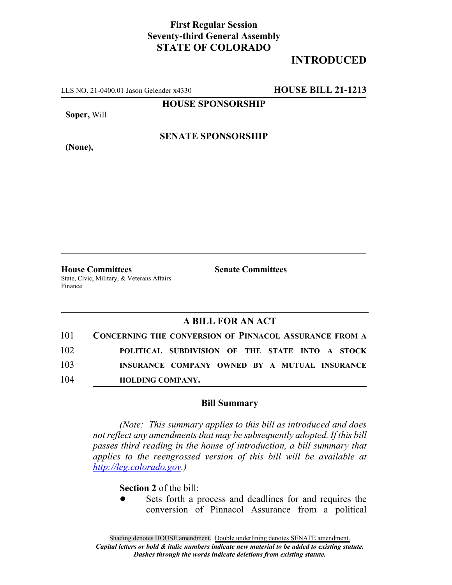### **First Regular Session Seventy-third General Assembly STATE OF COLORADO**

### **INTRODUCED**

LLS NO. 21-0400.01 Jason Gelender x4330 **HOUSE BILL 21-1213**

**HOUSE SPONSORSHIP**

**Soper,** Will

**SENATE SPONSORSHIP**

**(None),**

**House Committees Senate Committees** State, Civic, Military, & Veterans Affairs Finance

#### **A BILL FOR AN ACT**

| 101 | <b>CONCERNING THE CONVERSION OF PINNACOL ASSURANCE FROM A</b> |
|-----|---------------------------------------------------------------|
| 102 | POLITICAL SUBDIVISION OF THE STATE INTO A STOCK               |
| 103 | INSURANCE COMPANY OWNED BY A MUTUAL INSURANCE                 |
| 104 | <b>HOLDING COMPANY.</b>                                       |

#### **Bill Summary**

*(Note: This summary applies to this bill as introduced and does not reflect any amendments that may be subsequently adopted. If this bill passes third reading in the house of introduction, a bill summary that applies to the reengrossed version of this bill will be available at http://leg.colorado.gov.)*

**Section 2** of the bill:

Sets forth a process and deadlines for and requires the conversion of Pinnacol Assurance from a political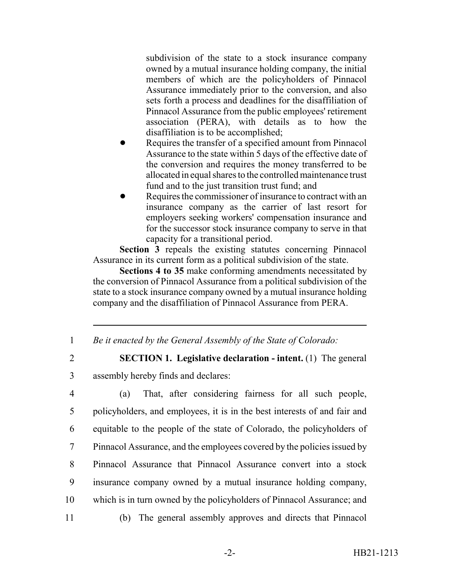subdivision of the state to a stock insurance company owned by a mutual insurance holding company, the initial members of which are the policyholders of Pinnacol Assurance immediately prior to the conversion, and also sets forth a process and deadlines for the disaffiliation of Pinnacol Assurance from the public employees' retirement association (PERA), with details as to how the disaffiliation is to be accomplished;

- Requires the transfer of a specified amount from Pinnacol Assurance to the state within 5 days of the effective date of the conversion and requires the money transferred to be allocated in equal shares to the controlled maintenance trust fund and to the just transition trust fund; and
- Requires the commissioner of insurance to contract with an insurance company as the carrier of last resort for employers seeking workers' compensation insurance and for the successor stock insurance company to serve in that capacity for a transitional period.

Section  $\hat{3}$  repeals the existing statutes concerning Pinnacol Assurance in its current form as a political subdivision of the state.

**Sections 4 to 35** make conforming amendments necessitated by the conversion of Pinnacol Assurance from a political subdivision of the state to a stock insurance company owned by a mutual insurance holding company and the disaffiliation of Pinnacol Assurance from PERA.

1 *Be it enacted by the General Assembly of the State of Colorado:*

2 **SECTION 1. Legislative declaration - intent.** (1) The general 3 assembly hereby finds and declares:

 (a) That, after considering fairness for all such people, policyholders, and employees, it is in the best interests of and fair and equitable to the people of the state of Colorado, the policyholders of Pinnacol Assurance, and the employees covered by the policies issued by Pinnacol Assurance that Pinnacol Assurance convert into a stock insurance company owned by a mutual insurance holding company, which is in turn owned by the policyholders of Pinnacol Assurance; and (b) The general assembly approves and directs that Pinnacol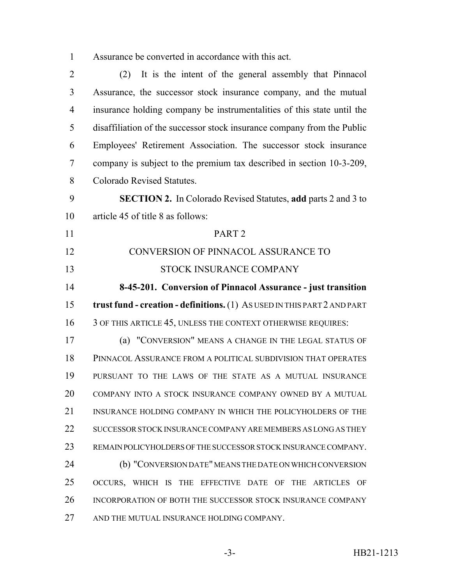Assurance be converted in accordance with this act.

 (2) It is the intent of the general assembly that Pinnacol Assurance, the successor stock insurance company, and the mutual insurance holding company be instrumentalities of this state until the disaffiliation of the successor stock insurance company from the Public Employees' Retirement Association. The successor stock insurance company is subject to the premium tax described in section 10-3-209, Colorado Revised Statutes. **SECTION 2.** In Colorado Revised Statutes, **add** parts 2 and 3 to article 45 of title 8 as follows: PART 2 CONVERSION OF PINNACOL ASSURANCE TO STOCK INSURANCE COMPANY **8-45-201. Conversion of Pinnacol Assurance - just transition trust fund - creation - definitions.** (1) AS USED IN THIS PART 2 AND PART 16 3 OF THIS ARTICLE 45, UNLESS THE CONTEXT OTHERWISE REQUIRES: (a) "CONVERSION" MEANS A CHANGE IN THE LEGAL STATUS OF PINNACOL ASSURANCE FROM A POLITICAL SUBDIVISION THAT OPERATES PURSUANT TO THE LAWS OF THE STATE AS A MUTUAL INSURANCE COMPANY INTO A STOCK INSURANCE COMPANY OWNED BY A MUTUAL 21 INSURANCE HOLDING COMPANY IN WHICH THE POLICYHOLDERS OF THE 22 SUCCESSOR STOCK INSURANCE COMPANY ARE MEMBERS AS LONG AS THEY REMAIN POLICYHOLDERS OF THE SUCCESSOR STOCK INSURANCE COMPANY. (b) "CONVERSION DATE" MEANS THE DATE ON WHICH CONVERSION OCCURS, WHICH IS THE EFFECTIVE DATE OF THE ARTICLES OF INCORPORATION OF BOTH THE SUCCESSOR STOCK INSURANCE COMPANY 27 AND THE MUTUAL INSURANCE HOLDING COMPANY.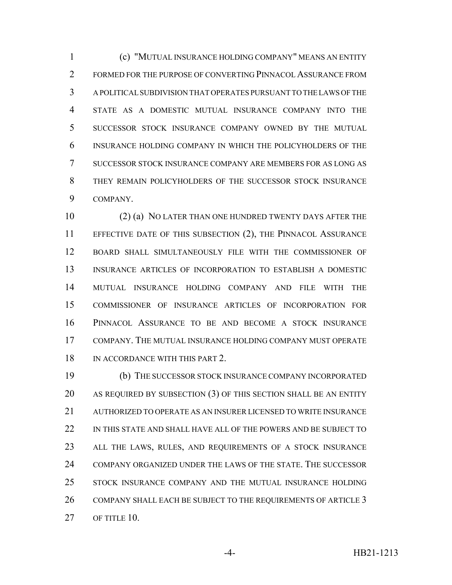(c) "MUTUAL INSURANCE HOLDING COMPANY" MEANS AN ENTITY FORMED FOR THE PURPOSE OF CONVERTING PINNACOL ASSURANCE FROM A POLITICAL SUBDIVISION THAT OPERATES PURSUANT TO THE LAWS OF THE STATE AS A DOMESTIC MUTUAL INSURANCE COMPANY INTO THE SUCCESSOR STOCK INSURANCE COMPANY OWNED BY THE MUTUAL INSURANCE HOLDING COMPANY IN WHICH THE POLICYHOLDERS OF THE SUCCESSOR STOCK INSURANCE COMPANY ARE MEMBERS FOR AS LONG AS THEY REMAIN POLICYHOLDERS OF THE SUCCESSOR STOCK INSURANCE COMPANY.

 (2) (a) NO LATER THAN ONE HUNDRED TWENTY DAYS AFTER THE EFFECTIVE DATE OF THIS SUBSECTION (2), THE PINNACOL ASSURANCE BOARD SHALL SIMULTANEOUSLY FILE WITH THE COMMISSIONER OF INSURANCE ARTICLES OF INCORPORATION TO ESTABLISH A DOMESTIC MUTUAL INSURANCE HOLDING COMPANY AND FILE WITH THE COMMISSIONER OF INSURANCE ARTICLES OF INCORPORATION FOR PINNACOL ASSURANCE TO BE AND BECOME A STOCK INSURANCE COMPANY. THE MUTUAL INSURANCE HOLDING COMPANY MUST OPERATE 18 IN ACCORDANCE WITH THIS PART 2.

 (b) THE SUCCESSOR STOCK INSURANCE COMPANY INCORPORATED AS REQUIRED BY SUBSECTION (3) OF THIS SECTION SHALL BE AN ENTITY AUTHORIZED TO OPERATE AS AN INSURER LICENSED TO WRITE INSURANCE 22 IN THIS STATE AND SHALL HAVE ALL OF THE POWERS AND BE SUBJECT TO ALL THE LAWS, RULES, AND REQUIREMENTS OF A STOCK INSURANCE COMPANY ORGANIZED UNDER THE LAWS OF THE STATE. THE SUCCESSOR STOCK INSURANCE COMPANY AND THE MUTUAL INSURANCE HOLDING 26 COMPANY SHALL EACH BE SUBJECT TO THE REQUIREMENTS OF ARTICLE 3 27 OF TITLE 10.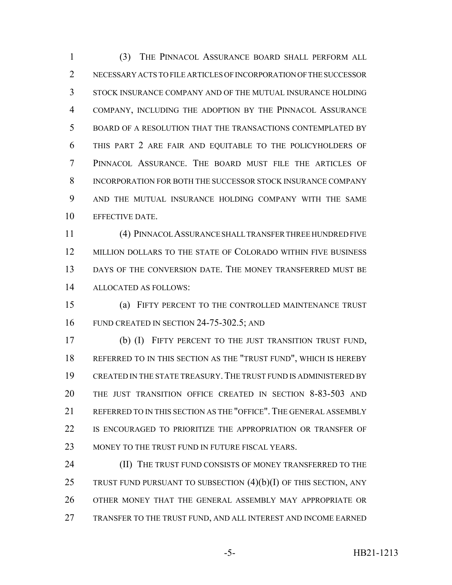(3) THE PINNACOL ASSURANCE BOARD SHALL PERFORM ALL NECESSARY ACTS TO FILE ARTICLES OF INCORPORATION OF THE SUCCESSOR STOCK INSURANCE COMPANY AND OF THE MUTUAL INSURANCE HOLDING COMPANY, INCLUDING THE ADOPTION BY THE PINNACOL ASSURANCE BOARD OF A RESOLUTION THAT THE TRANSACTIONS CONTEMPLATED BY THIS PART 2 ARE FAIR AND EQUITABLE TO THE POLICYHOLDERS OF PINNACOL ASSURANCE. THE BOARD MUST FILE THE ARTICLES OF INCORPORATION FOR BOTH THE SUCCESSOR STOCK INSURANCE COMPANY AND THE MUTUAL INSURANCE HOLDING COMPANY WITH THE SAME EFFECTIVE DATE.

 (4) PINNACOL ASSURANCE SHALL TRANSFER THREE HUNDRED FIVE MILLION DOLLARS TO THE STATE OF COLORADO WITHIN FIVE BUSINESS 13 DAYS OF THE CONVERSION DATE. THE MONEY TRANSFERRED MUST BE ALLOCATED AS FOLLOWS:

 (a) FIFTY PERCENT TO THE CONTROLLED MAINTENANCE TRUST 16 FUND CREATED IN SECTION 24-75-302.5; AND

 (b) (I) FIFTY PERCENT TO THE JUST TRANSITION TRUST FUND, REFERRED TO IN THIS SECTION AS THE "TRUST FUND", WHICH IS HEREBY CREATED IN THE STATE TREASURY.THE TRUST FUND IS ADMINISTERED BY THE JUST TRANSITION OFFICE CREATED IN SECTION 8-83-503 AND REFERRED TO IN THIS SECTION AS THE "OFFICE".THE GENERAL ASSEMBLY 22 IS ENCOURAGED TO PRIORITIZE THE APPROPRIATION OR TRANSFER OF 23 MONEY TO THE TRUST FUND IN FUTURE FISCAL YEARS.

**(II) THE TRUST FUND CONSISTS OF MONEY TRANSFERRED TO THE** 25 TRUST FUND PURSUANT TO SUBSECTION  $(4)(b)(I)$  OF THIS SECTION, ANY OTHER MONEY THAT THE GENERAL ASSEMBLY MAY APPROPRIATE OR TRANSFER TO THE TRUST FUND, AND ALL INTEREST AND INCOME EARNED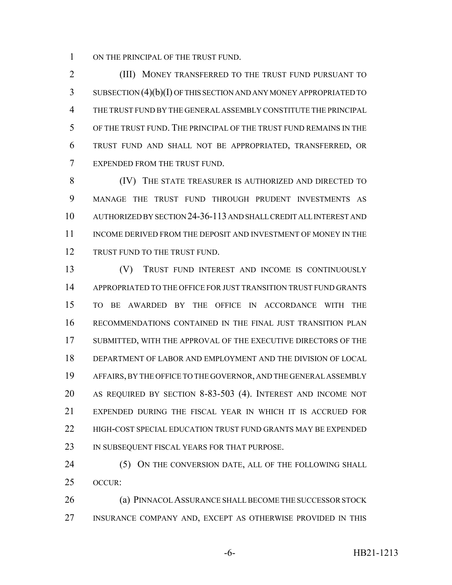1 ON THE PRINCIPAL OF THE TRUST FUND.

 (III) MONEY TRANSFERRED TO THE TRUST FUND PURSUANT TO SUBSECTION (4)(b)(I) OF THIS SECTION AND ANY MONEY APPROPRIATED TO THE TRUST FUND BY THE GENERAL ASSEMBLY CONSTITUTE THE PRINCIPAL OF THE TRUST FUND. THE PRINCIPAL OF THE TRUST FUND REMAINS IN THE TRUST FUND AND SHALL NOT BE APPROPRIATED, TRANSFERRED, OR EXPENDED FROM THE TRUST FUND.

 (IV) THE STATE TREASURER IS AUTHORIZED AND DIRECTED TO MANAGE THE TRUST FUND THROUGH PRUDENT INVESTMENTS AS AUTHORIZED BY SECTION 24-36-113 AND SHALL CREDIT ALL INTEREST AND INCOME DERIVED FROM THE DEPOSIT AND INVESTMENT OF MONEY IN THE 12 TRUST FUND TO THE TRUST FUND.

 (V) TRUST FUND INTEREST AND INCOME IS CONTINUOUSLY APPROPRIATED TO THE OFFICE FOR JUST TRANSITION TRUST FUND GRANTS TO BE AWARDED BY THE OFFICE IN ACCORDANCE WITH THE RECOMMENDATIONS CONTAINED IN THE FINAL JUST TRANSITION PLAN SUBMITTED, WITH THE APPROVAL OF THE EXECUTIVE DIRECTORS OF THE DEPARTMENT OF LABOR AND EMPLOYMENT AND THE DIVISION OF LOCAL AFFAIRS, BY THE OFFICE TO THE GOVERNOR, AND THE GENERAL ASSEMBLY AS REQUIRED BY SECTION 8-83-503 (4). INTEREST AND INCOME NOT EXPENDED DURING THE FISCAL YEAR IN WHICH IT IS ACCRUED FOR HIGH-COST SPECIAL EDUCATION TRUST FUND GRANTS MAY BE EXPENDED 23 IN SUBSEQUENT FISCAL YEARS FOR THAT PURPOSE.

24 (5) ON THE CONVERSION DATE, ALL OF THE FOLLOWING SHALL OCCUR:

 (a) PINNACOL ASSURANCE SHALL BECOME THE SUCCESSOR STOCK INSURANCE COMPANY AND, EXCEPT AS OTHERWISE PROVIDED IN THIS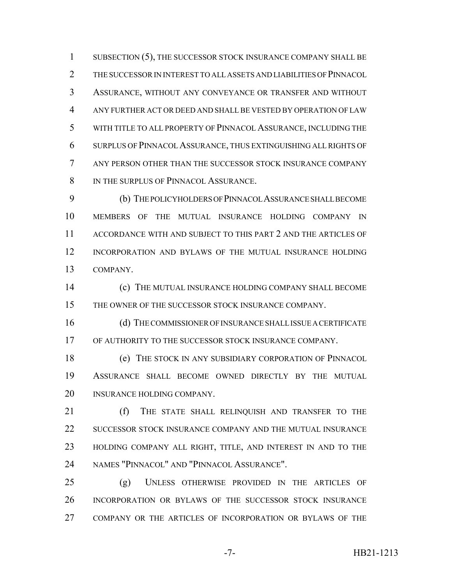1 SUBSECTION (5), THE SUCCESSOR STOCK INSURANCE COMPANY SHALL BE THE SUCCESSOR IN INTEREST TO ALL ASSETS AND LIABILITIES OF PINNACOL ASSURANCE, WITHOUT ANY CONVEYANCE OR TRANSFER AND WITHOUT ANY FURTHER ACT OR DEED AND SHALL BE VESTED BY OPERATION OF LAW WITH TITLE TO ALL PROPERTY OF PINNACOL ASSURANCE, INCLUDING THE SURPLUS OF PINNACOL ASSURANCE, THUS EXTINGUISHING ALL RIGHTS OF ANY PERSON OTHER THAN THE SUCCESSOR STOCK INSURANCE COMPANY 8 IN THE SURPLUS OF PINNACOL ASSURANCE.

 (b) THE POLICYHOLDERS OF PINNACOL ASSURANCE SHALL BECOME MEMBERS OF THE MUTUAL INSURANCE HOLDING COMPANY IN ACCORDANCE WITH AND SUBJECT TO THIS PART 2 AND THE ARTICLES OF INCORPORATION AND BYLAWS OF THE MUTUAL INSURANCE HOLDING COMPANY.

 (c) THE MUTUAL INSURANCE HOLDING COMPANY SHALL BECOME 15 THE OWNER OF THE SUCCESSOR STOCK INSURANCE COMPANY.

 (d) THE COMMISSIONER OF INSURANCE SHALL ISSUE A CERTIFICATE OF AUTHORITY TO THE SUCCESSOR STOCK INSURANCE COMPANY.

 (e) THE STOCK IN ANY SUBSIDIARY CORPORATION OF PINNACOL ASSURANCE SHALL BECOME OWNED DIRECTLY BY THE MUTUAL 20 INSURANCE HOLDING COMPANY.

21 (f) THE STATE SHALL RELINOUISH AND TRANSFER TO THE SUCCESSOR STOCK INSURANCE COMPANY AND THE MUTUAL INSURANCE HOLDING COMPANY ALL RIGHT, TITLE, AND INTEREST IN AND TO THE NAMES "PINNACOL" AND "PINNACOL ASSURANCE".

 (g) UNLESS OTHERWISE PROVIDED IN THE ARTICLES OF INCORPORATION OR BYLAWS OF THE SUCCESSOR STOCK INSURANCE COMPANY OR THE ARTICLES OF INCORPORATION OR BYLAWS OF THE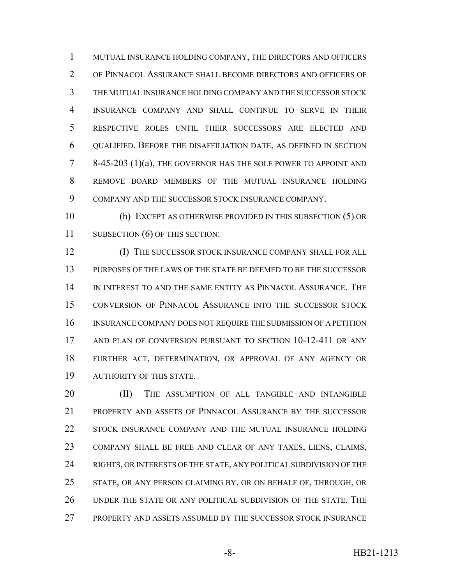MUTUAL INSURANCE HOLDING COMPANY, THE DIRECTORS AND OFFICERS OF PINNACOL ASSURANCE SHALL BECOME DIRECTORS AND OFFICERS OF THE MUTUAL INSURANCE HOLDING COMPANY AND THE SUCCESSOR STOCK INSURANCE COMPANY AND SHALL CONTINUE TO SERVE IN THEIR RESPECTIVE ROLES UNTIL THEIR SUCCESSORS ARE ELECTED AND QUALIFIED. BEFORE THE DISAFFILIATION DATE, AS DEFINED IN SECTION 8-45-203 (1)(a), THE GOVERNOR HAS THE SOLE POWER TO APPOINT AND REMOVE BOARD MEMBERS OF THE MUTUAL INSURANCE HOLDING COMPANY AND THE SUCCESSOR STOCK INSURANCE COMPANY.

 (h) EXCEPT AS OTHERWISE PROVIDED IN THIS SUBSECTION (5) OR 11 SUBSECTION (6) OF THIS SECTION:

**(I) THE SUCCESSOR STOCK INSURANCE COMPANY SHALL FOR ALL**  PURPOSES OF THE LAWS OF THE STATE BE DEEMED TO BE THE SUCCESSOR IN INTEREST TO AND THE SAME ENTITY AS PINNACOL ASSURANCE. THE CONVERSION OF PINNACOL ASSURANCE INTO THE SUCCESSOR STOCK INSURANCE COMPANY DOES NOT REQUIRE THE SUBMISSION OF A PETITION AND PLAN OF CONVERSION PURSUANT TO SECTION 10-12-411 OR ANY FURTHER ACT, DETERMINATION, OR APPROVAL OF ANY AGENCY OR AUTHORITY OF THIS STATE.

20 (II) THE ASSUMPTION OF ALL TANGIBLE AND INTANGIBLE PROPERTY AND ASSETS OF PINNACOL ASSURANCE BY THE SUCCESSOR STOCK INSURANCE COMPANY AND THE MUTUAL INSURANCE HOLDING COMPANY SHALL BE FREE AND CLEAR OF ANY TAXES, LIENS, CLAIMS, 24 RIGHTS, OR INTERESTS OF THE STATE, ANY POLITICAL SUBDIVISION OF THE STATE, OR ANY PERSON CLAIMING BY, OR ON BEHALF OF, THROUGH, OR UNDER THE STATE OR ANY POLITICAL SUBDIVISION OF THE STATE. THE PROPERTY AND ASSETS ASSUMED BY THE SUCCESSOR STOCK INSURANCE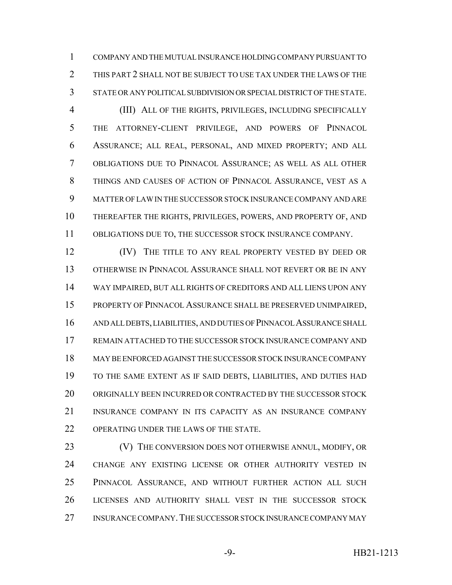COMPANY AND THE MUTUAL INSURANCE HOLDING COMPANY PURSUANT TO THIS PART 2 SHALL NOT BE SUBJECT TO USE TAX UNDER THE LAWS OF THE STATE OR ANY POLITICAL SUBDIVISION OR SPECIAL DISTRICT OF THE STATE.

 (III) ALL OF THE RIGHTS, PRIVILEGES, INCLUDING SPECIFICALLY THE ATTORNEY-CLIENT PRIVILEGE, AND POWERS OF PINNACOL ASSURANCE; ALL REAL, PERSONAL, AND MIXED PROPERTY; AND ALL OBLIGATIONS DUE TO PINNACOL ASSURANCE; AS WELL AS ALL OTHER THINGS AND CAUSES OF ACTION OF PINNACOL ASSURANCE, VEST AS A MATTER OF LAW IN THE SUCCESSOR STOCK INSURANCE COMPANY AND ARE THEREAFTER THE RIGHTS, PRIVILEGES, POWERS, AND PROPERTY OF, AND OBLIGATIONS DUE TO, THE SUCCESSOR STOCK INSURANCE COMPANY.

**IV)** THE TITLE TO ANY REAL PROPERTY VESTED BY DEED OR OTHERWISE IN PINNACOL ASSURANCE SHALL NOT REVERT OR BE IN ANY WAY IMPAIRED, BUT ALL RIGHTS OF CREDITORS AND ALL LIENS UPON ANY PROPERTY OF PINNACOL ASSURANCE SHALL BE PRESERVED UNIMPAIRED, AND ALL DEBTS, LIABILITIES, AND DUTIES OF PINNACOL ASSURANCE SHALL REMAIN ATTACHED TO THE SUCCESSOR STOCK INSURANCE COMPANY AND MAY BE ENFORCED AGAINST THE SUCCESSOR STOCK INSURANCE COMPANY TO THE SAME EXTENT AS IF SAID DEBTS, LIABILITIES, AND DUTIES HAD ORIGINALLY BEEN INCURRED OR CONTRACTED BY THE SUCCESSOR STOCK INSURANCE COMPANY IN ITS CAPACITY AS AN INSURANCE COMPANY OPERATING UNDER THE LAWS OF THE STATE.

**(V)** THE CONVERSION DOES NOT OTHERWISE ANNUL, MODIFY, OR CHANGE ANY EXISTING LICENSE OR OTHER AUTHORITY VESTED IN PINNACOL ASSURANCE, AND WITHOUT FURTHER ACTION ALL SUCH LICENSES AND AUTHORITY SHALL VEST IN THE SUCCESSOR STOCK INSURANCE COMPANY.THE SUCCESSOR STOCK INSURANCE COMPANY MAY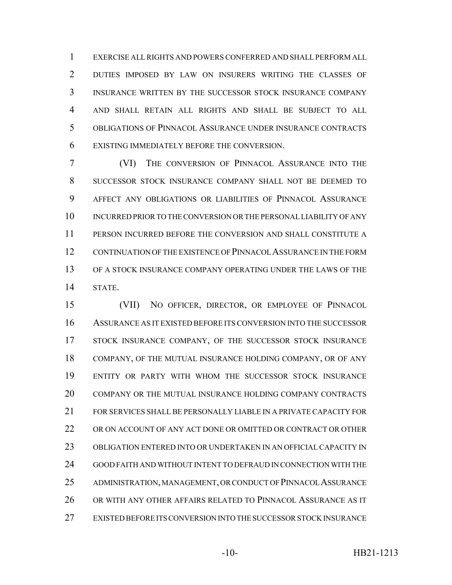EXERCISE ALL RIGHTS AND POWERS CONFERRED AND SHALL PERFORM ALL DUTIES IMPOSED BY LAW ON INSURERS WRITING THE CLASSES OF INSURANCE WRITTEN BY THE SUCCESSOR STOCK INSURANCE COMPANY AND SHALL RETAIN ALL RIGHTS AND SHALL BE SUBJECT TO ALL OBLIGATIONS OF PINNACOL ASSURANCE UNDER INSURANCE CONTRACTS EXISTING IMMEDIATELY BEFORE THE CONVERSION.

 (VI) THE CONVERSION OF PINNACOL ASSURANCE INTO THE SUCCESSOR STOCK INSURANCE COMPANY SHALL NOT BE DEEMED TO AFFECT ANY OBLIGATIONS OR LIABILITIES OF PINNACOL ASSURANCE INCURRED PRIOR TO THE CONVERSION OR THE PERSONAL LIABILITY OF ANY PERSON INCURRED BEFORE THE CONVERSION AND SHALL CONSTITUTE A CONTINUATION OF THE EXISTENCE OF PINNACOL ASSURANCE IN THE FORM OF A STOCK INSURANCE COMPANY OPERATING UNDER THE LAWS OF THE STATE.

 (VII) NO OFFICER, DIRECTOR, OR EMPLOYEE OF PINNACOL ASSURANCE AS IT EXISTED BEFORE ITS CONVERSION INTO THE SUCCESSOR STOCK INSURANCE COMPANY, OF THE SUCCESSOR STOCK INSURANCE 18 COMPANY, OF THE MUTUAL INSURANCE HOLDING COMPANY, OR OF ANY ENTITY OR PARTY WITH WHOM THE SUCCESSOR STOCK INSURANCE COMPANY OR THE MUTUAL INSURANCE HOLDING COMPANY CONTRACTS FOR SERVICES SHALL BE PERSONALLY LIABLE IN A PRIVATE CAPACITY FOR OR ON ACCOUNT OF ANY ACT DONE OR OMITTED OR CONTRACT OR OTHER OBLIGATION ENTERED INTO OR UNDERTAKEN IN AN OFFICIAL CAPACITY IN GOOD FAITH AND WITHOUT INTENT TO DEFRAUD IN CONNECTION WITH THE ADMINISTRATION, MANAGEMENT, OR CONDUCT OF PINNACOL ASSURANCE OR WITH ANY OTHER AFFAIRS RELATED TO PINNACOL ASSURANCE AS IT EXISTED BEFORE ITS CONVERSION INTO THE SUCCESSOR STOCK INSURANCE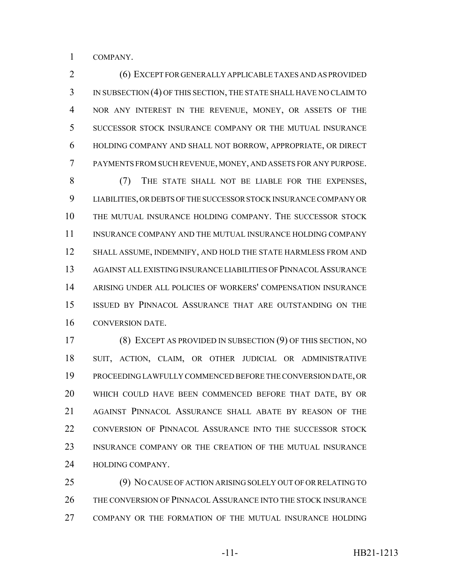COMPANY.

 (6) EXCEPT FOR GENERALLY APPLICABLE TAXES AND AS PROVIDED IN SUBSECTION (4) OF THIS SECTION, THE STATE SHALL HAVE NO CLAIM TO NOR ANY INTEREST IN THE REVENUE, MONEY, OR ASSETS OF THE SUCCESSOR STOCK INSURANCE COMPANY OR THE MUTUAL INSURANCE HOLDING COMPANY AND SHALL NOT BORROW, APPROPRIATE, OR DIRECT PAYMENTS FROM SUCH REVENUE, MONEY, AND ASSETS FOR ANY PURPOSE.

 (7) THE STATE SHALL NOT BE LIABLE FOR THE EXPENSES, LIABILITIES, OR DEBTS OF THE SUCCESSOR STOCK INSURANCE COMPANY OR THE MUTUAL INSURANCE HOLDING COMPANY. THE SUCCESSOR STOCK INSURANCE COMPANY AND THE MUTUAL INSURANCE HOLDING COMPANY SHALL ASSUME, INDEMNIFY, AND HOLD THE STATE HARMLESS FROM AND AGAINST ALL EXISTING INSURANCE LIABILITIES OF PINNACOL ASSURANCE ARISING UNDER ALL POLICIES OF WORKERS' COMPENSATION INSURANCE ISSUED BY PINNACOL ASSURANCE THAT ARE OUTSTANDING ON THE CONVERSION DATE.

 (8) EXCEPT AS PROVIDED IN SUBSECTION (9) OF THIS SECTION, NO SUIT, ACTION, CLAIM, OR OTHER JUDICIAL OR ADMINISTRATIVE PROCEEDING LAWFULLY COMMENCED BEFORE THE CONVERSION DATE, OR WHICH COULD HAVE BEEN COMMENCED BEFORE THAT DATE, BY OR AGAINST PINNACOL ASSURANCE SHALL ABATE BY REASON OF THE CONVERSION OF PINNACOL ASSURANCE INTO THE SUCCESSOR STOCK INSURANCE COMPANY OR THE CREATION OF THE MUTUAL INSURANCE 24 HOLDING COMPANY.

 (9) NO CAUSE OF ACTION ARISING SOLELY OUT OF OR RELATING TO THE CONVERSION OF PINNACOL ASSURANCE INTO THE STOCK INSURANCE COMPANY OR THE FORMATION OF THE MUTUAL INSURANCE HOLDING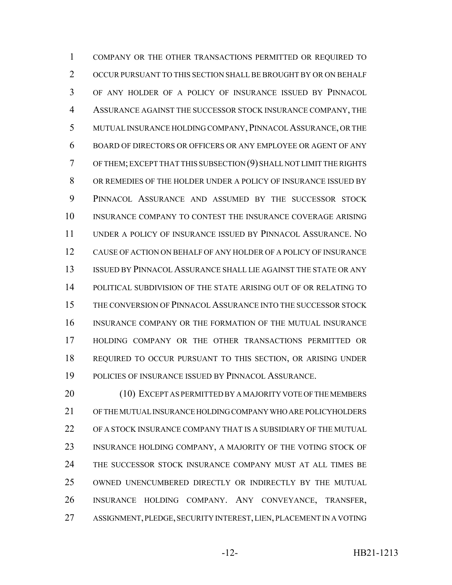COMPANY OR THE OTHER TRANSACTIONS PERMITTED OR REQUIRED TO OCCUR PURSUANT TO THIS SECTION SHALL BE BROUGHT BY OR ON BEHALF OF ANY HOLDER OF A POLICY OF INSURANCE ISSUED BY PINNACOL ASSURANCE AGAINST THE SUCCESSOR STOCK INSURANCE COMPANY, THE MUTUAL INSURANCE HOLDING COMPANY,PINNACOL ASSURANCE, OR THE BOARD OF DIRECTORS OR OFFICERS OR ANY EMPLOYEE OR AGENT OF ANY OF THEM; EXCEPT THAT THIS SUBSECTION (9) SHALL NOT LIMIT THE RIGHTS OR REMEDIES OF THE HOLDER UNDER A POLICY OF INSURANCE ISSUED BY PINNACOL ASSURANCE AND ASSUMED BY THE SUCCESSOR STOCK INSURANCE COMPANY TO CONTEST THE INSURANCE COVERAGE ARISING UNDER A POLICY OF INSURANCE ISSUED BY PINNACOL ASSURANCE. NO CAUSE OF ACTION ON BEHALF OF ANY HOLDER OF A POLICY OF INSURANCE ISSUED BY PINNACOL ASSURANCE SHALL LIE AGAINST THE STATE OR ANY POLITICAL SUBDIVISION OF THE STATE ARISING OUT OF OR RELATING TO THE CONVERSION OF PINNACOL ASSURANCE INTO THE SUCCESSOR STOCK INSURANCE COMPANY OR THE FORMATION OF THE MUTUAL INSURANCE HOLDING COMPANY OR THE OTHER TRANSACTIONS PERMITTED OR REQUIRED TO OCCUR PURSUANT TO THIS SECTION, OR ARISING UNDER POLICIES OF INSURANCE ISSUED BY PINNACOL ASSURANCE.

 (10) EXCEPT AS PERMITTED BY A MAJORITY VOTE OF THE MEMBERS OF THE MUTUAL INSURANCE HOLDING COMPANY WHO ARE POLICYHOLDERS OF A STOCK INSURANCE COMPANY THAT IS A SUBSIDIARY OF THE MUTUAL 23 INSURANCE HOLDING COMPANY, A MAJORITY OF THE VOTING STOCK OF THE SUCCESSOR STOCK INSURANCE COMPANY MUST AT ALL TIMES BE OWNED UNENCUMBERED DIRECTLY OR INDIRECTLY BY THE MUTUAL INSURANCE HOLDING COMPANY. ANY CONVEYANCE, TRANSFER, ASSIGNMENT, PLEDGE, SECURITY INTEREST, LIEN, PLACEMENT IN A VOTING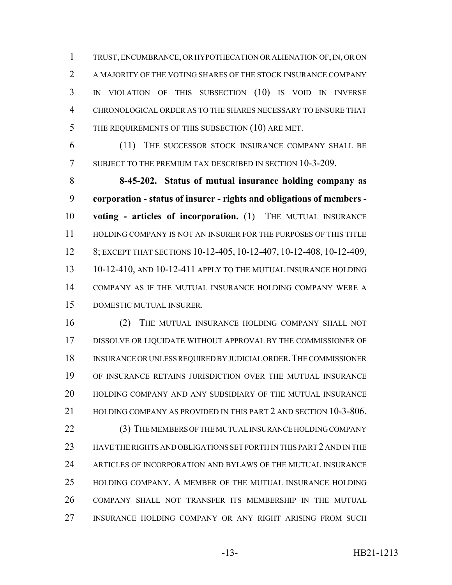TRUST, ENCUMBRANCE, OR HYPOTHECATION OR ALIENATION OF, IN, OR ON A MAJORITY OF THE VOTING SHARES OF THE STOCK INSURANCE COMPANY IN VIOLATION OF THIS SUBSECTION (10) IS VOID IN INVERSE CHRONOLOGICAL ORDER AS TO THE SHARES NECESSARY TO ENSURE THAT 5 THE REQUIREMENTS OF THIS SUBSECTION (10) ARE MET.

 (11) THE SUCCESSOR STOCK INSURANCE COMPANY SHALL BE SUBJECT TO THE PREMIUM TAX DESCRIBED IN SECTION 10-3-209.

 **8-45-202. Status of mutual insurance holding company as corporation - status of insurer - rights and obligations of members - voting - articles of incorporation.** (1) THE MUTUAL INSURANCE HOLDING COMPANY IS NOT AN INSURER FOR THE PURPOSES OF THIS TITLE 8; EXCEPT THAT SECTIONS 10-12-405, 10-12-407, 10-12-408, 10-12-409, 10-12-410, AND 10-12-411 APPLY TO THE MUTUAL INSURANCE HOLDING COMPANY AS IF THE MUTUAL INSURANCE HOLDING COMPANY WERE A DOMESTIC MUTUAL INSURER.

 (2) THE MUTUAL INSURANCE HOLDING COMPANY SHALL NOT DISSOLVE OR LIQUIDATE WITHOUT APPROVAL BY THE COMMISSIONER OF INSURANCE OR UNLESS REQUIRED BY JUDICIAL ORDER.THE COMMISSIONER OF INSURANCE RETAINS JURISDICTION OVER THE MUTUAL INSURANCE HOLDING COMPANY AND ANY SUBSIDIARY OF THE MUTUAL INSURANCE 21 HOLDING COMPANY AS PROVIDED IN THIS PART 2 AND SECTION 10-3-806. (3) THE MEMBERS OF THE MUTUAL INSURANCE HOLDING COMPANY HAVE THE RIGHTS AND OBLIGATIONS SET FORTH IN THIS PART 2 AND IN THE ARTICLES OF INCORPORATION AND BYLAWS OF THE MUTUAL INSURANCE HOLDING COMPANY. A MEMBER OF THE MUTUAL INSURANCE HOLDING COMPANY SHALL NOT TRANSFER ITS MEMBERSHIP IN THE MUTUAL INSURANCE HOLDING COMPANY OR ANY RIGHT ARISING FROM SUCH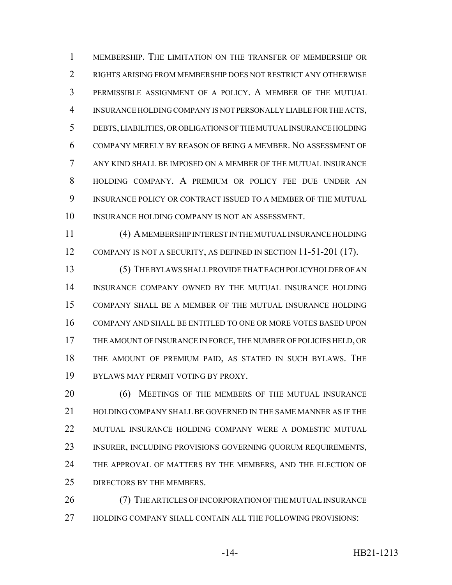MEMBERSHIP. THE LIMITATION ON THE TRANSFER OF MEMBERSHIP OR RIGHTS ARISING FROM MEMBERSHIP DOES NOT RESTRICT ANY OTHERWISE PERMISSIBLE ASSIGNMENT OF A POLICY. A MEMBER OF THE MUTUAL INSURANCE HOLDING COMPANY IS NOT PERSONALLY LIABLE FOR THE ACTS, DEBTS, LIABILITIES, OR OBLIGATIONS OF THE MUTUAL INSURANCE HOLDING COMPANY MERELY BY REASON OF BEING A MEMBER. NO ASSESSMENT OF ANY KIND SHALL BE IMPOSED ON A MEMBER OF THE MUTUAL INSURANCE HOLDING COMPANY. A PREMIUM OR POLICY FEE DUE UNDER AN INSURANCE POLICY OR CONTRACT ISSUED TO A MEMBER OF THE MUTUAL INSURANCE HOLDING COMPANY IS NOT AN ASSESSMENT.

 (4) A MEMBERSHIP INTEREST IN THE MUTUAL INSURANCE HOLDING 12 COMPANY IS NOT A SECURITY, AS DEFINED IN SECTION 11-51-201 (17).

 (5) THE BYLAWS SHALL PROVIDE THAT EACH POLICYHOLDER OF AN INSURANCE COMPANY OWNED BY THE MUTUAL INSURANCE HOLDING COMPANY SHALL BE A MEMBER OF THE MUTUAL INSURANCE HOLDING COMPANY AND SHALL BE ENTITLED TO ONE OR MORE VOTES BASED UPON THE AMOUNT OF INSURANCE IN FORCE, THE NUMBER OF POLICIES HELD, OR THE AMOUNT OF PREMIUM PAID, AS STATED IN SUCH BYLAWS. THE BYLAWS MAY PERMIT VOTING BY PROXY.

20 (6) MEETINGS OF THE MEMBERS OF THE MUTUAL INSURANCE HOLDING COMPANY SHALL BE GOVERNED IN THE SAME MANNER AS IF THE MUTUAL INSURANCE HOLDING COMPANY WERE A DOMESTIC MUTUAL INSURER, INCLUDING PROVISIONS GOVERNING QUORUM REQUIREMENTS, 24 THE APPROVAL OF MATTERS BY THE MEMBERS, AND THE ELECTION OF DIRECTORS BY THE MEMBERS.

 (7) THE ARTICLES OF INCORPORATION OF THE MUTUAL INSURANCE HOLDING COMPANY SHALL CONTAIN ALL THE FOLLOWING PROVISIONS: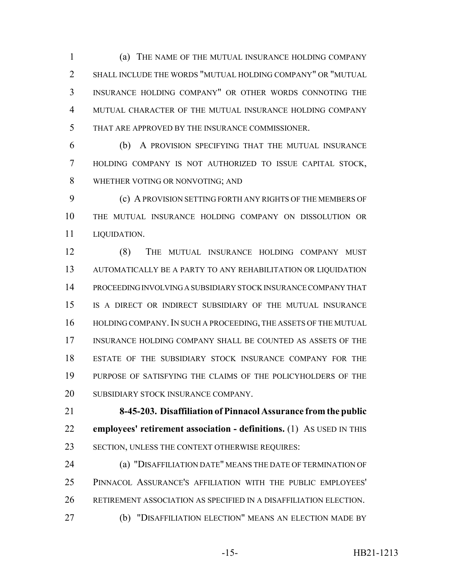(a) THE NAME OF THE MUTUAL INSURANCE HOLDING COMPANY SHALL INCLUDE THE WORDS "MUTUAL HOLDING COMPANY" OR "MUTUAL INSURANCE HOLDING COMPANY" OR OTHER WORDS CONNOTING THE MUTUAL CHARACTER OF THE MUTUAL INSURANCE HOLDING COMPANY THAT ARE APPROVED BY THE INSURANCE COMMISSIONER.

 (b) A PROVISION SPECIFYING THAT THE MUTUAL INSURANCE HOLDING COMPANY IS NOT AUTHORIZED TO ISSUE CAPITAL STOCK, WHETHER VOTING OR NONVOTING; AND

 (c) A PROVISION SETTING FORTH ANY RIGHTS OF THE MEMBERS OF THE MUTUAL INSURANCE HOLDING COMPANY ON DISSOLUTION OR LIQUIDATION.

 (8) THE MUTUAL INSURANCE HOLDING COMPANY MUST AUTOMATICALLY BE A PARTY TO ANY REHABILITATION OR LIQUIDATION PROCEEDING INVOLVING A SUBSIDIARY STOCK INSURANCE COMPANY THAT IS A DIRECT OR INDIRECT SUBSIDIARY OF THE MUTUAL INSURANCE 16 HOLDING COMPANY. IN SUCH A PROCEEDING, THE ASSETS OF THE MUTUAL INSURANCE HOLDING COMPANY SHALL BE COUNTED AS ASSETS OF THE ESTATE OF THE SUBSIDIARY STOCK INSURANCE COMPANY FOR THE PURPOSE OF SATISFYING THE CLAIMS OF THE POLICYHOLDERS OF THE 20 SUBSIDIARY STOCK INSURANCE COMPANY.

 **8-45-203. Disaffiliation of Pinnacol Assurance from the public employees' retirement association - definitions.** (1) AS USED IN THIS SECTION, UNLESS THE CONTEXT OTHERWISE REQUIRES:

 (a) "DISAFFILIATION DATE" MEANS THE DATE OF TERMINATION OF PINNACOL ASSURANCE'S AFFILIATION WITH THE PUBLIC EMPLOYEES' RETIREMENT ASSOCIATION AS SPECIFIED IN A DISAFFILIATION ELECTION.

(b) "DISAFFILIATION ELECTION" MEANS AN ELECTION MADE BY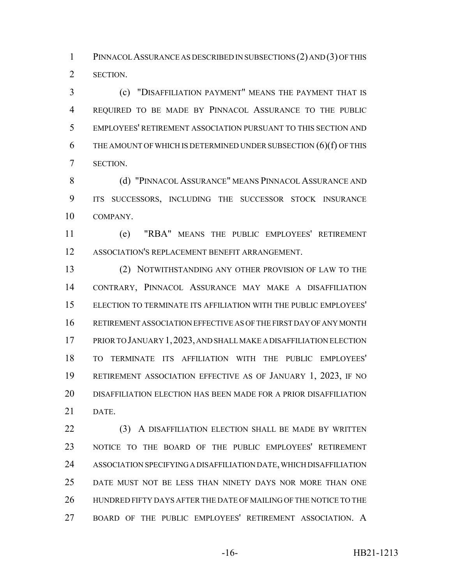PINNACOL ASSURANCE AS DESCRIBED IN SUBSECTIONS (2) AND (3) OF THIS SECTION.

 (c) "DISAFFILIATION PAYMENT" MEANS THE PAYMENT THAT IS REQUIRED TO BE MADE BY PINNACOL ASSURANCE TO THE PUBLIC EMPLOYEES' RETIREMENT ASSOCIATION PURSUANT TO THIS SECTION AND 6 THE AMOUNT OF WHICH IS DETERMINED UNDER SUBSECTION  $(6)(f)$  OF THIS SECTION.

8 (d) "PINNACOL ASSURANCE" MEANS PINNACOL ASSURANCE AND ITS SUCCESSORS, INCLUDING THE SUCCESSOR STOCK INSURANCE COMPANY.

 (e) "RBA" MEANS THE PUBLIC EMPLOYEES' RETIREMENT ASSOCIATION'S REPLACEMENT BENEFIT ARRANGEMENT.

 (2) NOTWITHSTANDING ANY OTHER PROVISION OF LAW TO THE CONTRARY, PINNACOL ASSURANCE MAY MAKE A DISAFFILIATION ELECTION TO TERMINATE ITS AFFILIATION WITH THE PUBLIC EMPLOYEES' RETIREMENT ASSOCIATION EFFECTIVE AS OF THE FIRST DAY OF ANY MONTH PRIOR TO JANUARY 1,2023, AND SHALL MAKE A DISAFFILIATION ELECTION TO TERMINATE ITS AFFILIATION WITH THE PUBLIC EMPLOYEES' RETIREMENT ASSOCIATION EFFECTIVE AS OF JANUARY 1, 2023, IF NO DISAFFILIATION ELECTION HAS BEEN MADE FOR A PRIOR DISAFFILIATION DATE.

22 (3) A DISAFFILIATION ELECTION SHALL BE MADE BY WRITTEN NOTICE TO THE BOARD OF THE PUBLIC EMPLOYEES' RETIREMENT ASSOCIATION SPECIFYING A DISAFFILIATION DATE, WHICH DISAFFILIATION DATE MUST NOT BE LESS THAN NINETY DAYS NOR MORE THAN ONE HUNDRED FIFTY DAYS AFTER THE DATE OF MAILING OF THE NOTICE TO THE BOARD OF THE PUBLIC EMPLOYEES' RETIREMENT ASSOCIATION. A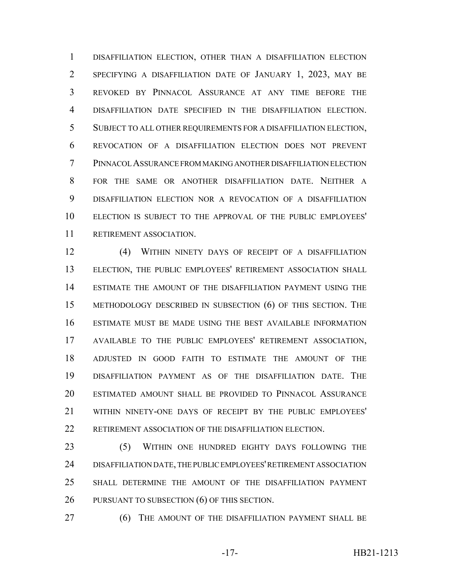DISAFFILIATION ELECTION, OTHER THAN A DISAFFILIATION ELECTION SPECIFYING A DISAFFILIATION DATE OF JANUARY 1, 2023, MAY BE REVOKED BY PINNACOL ASSURANCE AT ANY TIME BEFORE THE DISAFFILIATION DATE SPECIFIED IN THE DISAFFILIATION ELECTION. SUBJECT TO ALL OTHER REQUIREMENTS FOR A DISAFFILIATION ELECTION, REVOCATION OF A DISAFFILIATION ELECTION DOES NOT PREVENT PINNACOL ASSURANCE FROM MAKING ANOTHER DISAFFILIATION ELECTION FOR THE SAME OR ANOTHER DISAFFILIATION DATE. NEITHER A DISAFFILIATION ELECTION NOR A REVOCATION OF A DISAFFILIATION ELECTION IS SUBJECT TO THE APPROVAL OF THE PUBLIC EMPLOYEES' RETIREMENT ASSOCIATION.

 (4) WITHIN NINETY DAYS OF RECEIPT OF A DISAFFILIATION ELECTION, THE PUBLIC EMPLOYEES' RETIREMENT ASSOCIATION SHALL ESTIMATE THE AMOUNT OF THE DISAFFILIATION PAYMENT USING THE METHODOLOGY DESCRIBED IN SUBSECTION (6) OF THIS SECTION. THE ESTIMATE MUST BE MADE USING THE BEST AVAILABLE INFORMATION AVAILABLE TO THE PUBLIC EMPLOYEES' RETIREMENT ASSOCIATION, ADJUSTED IN GOOD FAITH TO ESTIMATE THE AMOUNT OF THE DISAFFILIATION PAYMENT AS OF THE DISAFFILIATION DATE. THE ESTIMATED AMOUNT SHALL BE PROVIDED TO PINNACOL ASSURANCE WITHIN NINETY-ONE DAYS OF RECEIPT BY THE PUBLIC EMPLOYEES' 22 RETIREMENT ASSOCIATION OF THE DISAFFILIATION ELECTION.

 (5) WITHIN ONE HUNDRED EIGHTY DAYS FOLLOWING THE DISAFFILIATION DATE, THE PUBLIC EMPLOYEES' RETIREMENT ASSOCIATION SHALL DETERMINE THE AMOUNT OF THE DISAFFILIATION PAYMENT PURSUANT TO SUBSECTION (6) OF THIS SECTION.

**(6) THE AMOUNT OF THE DISAFFILIATION PAYMENT SHALL BE**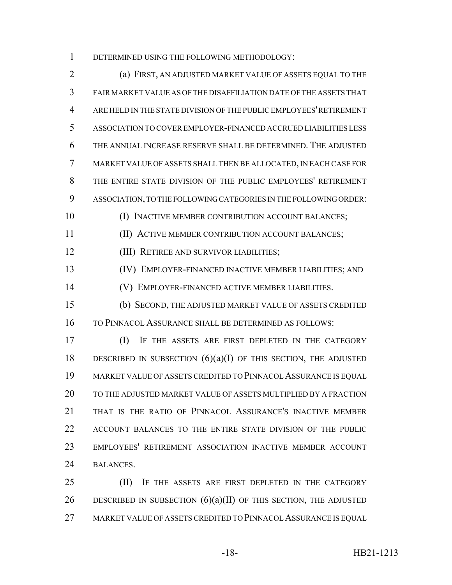DETERMINED USING THE FOLLOWING METHODOLOGY:

 (a) FIRST, AN ADJUSTED MARKET VALUE OF ASSETS EQUAL TO THE FAIR MARKET VALUE AS OF THE DISAFFILIATION DATE OF THE ASSETS THAT ARE HELD IN THE STATE DIVISION OF THE PUBLIC EMPLOYEES' RETIREMENT ASSOCIATION TO COVER EMPLOYER-FINANCED ACCRUED LIABILITIES LESS THE ANNUAL INCREASE RESERVE SHALL BE DETERMINED. THE ADJUSTED MARKET VALUE OF ASSETS SHALL THEN BE ALLOCATED, IN EACH CASE FOR THE ENTIRE STATE DIVISION OF THE PUBLIC EMPLOYEES' RETIREMENT ASSOCIATION, TO THE FOLLOWING CATEGORIES IN THE FOLLOWING ORDER: 10 (I) INACTIVE MEMBER CONTRIBUTION ACCOUNT BALANCES; (II) ACTIVE MEMBER CONTRIBUTION ACCOUNT BALANCES; (III) RETIREE AND SURVIVOR LIABILITIES; (IV) EMPLOYER-FINANCED INACTIVE MEMBER LIABILITIES; AND (V) EMPLOYER-FINANCED ACTIVE MEMBER LIABILITIES. (b) SECOND, THE ADJUSTED MARKET VALUE OF ASSETS CREDITED TO PINNACOL ASSURANCE SHALL BE DETERMINED AS FOLLOWS: (I) IF THE ASSETS ARE FIRST DEPLETED IN THE CATEGORY 18 DESCRIBED IN SUBSECTION  $(6)(a)(I)$  OF THIS SECTION, THE ADJUSTED MARKET VALUE OF ASSETS CREDITED TO PINNACOL ASSURANCE IS EQUAL TO THE ADJUSTED MARKET VALUE OF ASSETS MULTIPLIED BY A FRACTION THAT IS THE RATIO OF PINNACOL ASSURANCE'S INACTIVE MEMBER

 ACCOUNT BALANCES TO THE ENTIRE STATE DIVISION OF THE PUBLIC EMPLOYEES' RETIREMENT ASSOCIATION INACTIVE MEMBER ACCOUNT BALANCES.

**(II)** IF THE ASSETS ARE FIRST DEPLETED IN THE CATEGORY 26 DESCRIBED IN SUBSECTION  $(6)(a)(II)$  OF THIS SECTION, THE ADJUSTED 27 MARKET VALUE OF ASSETS CREDITED TO PINNACOL ASSURANCE IS EQUAL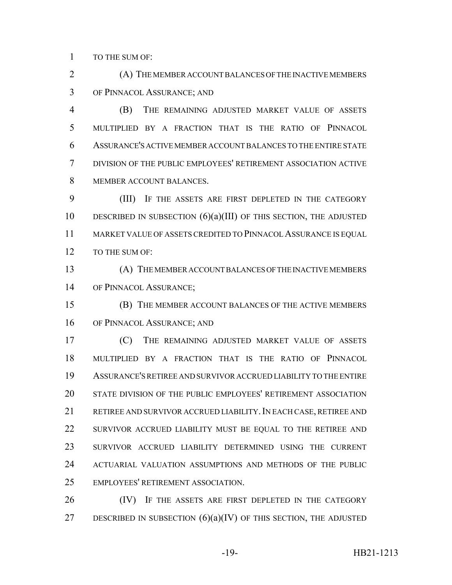TO THE SUM OF:

 (A) THE MEMBER ACCOUNT BALANCES OF THE INACTIVE MEMBERS OF PINNACOL ASSURANCE; AND

 (B) THE REMAINING ADJUSTED MARKET VALUE OF ASSETS MULTIPLIED BY A FRACTION THAT IS THE RATIO OF PINNACOL ASSURANCE'S ACTIVE MEMBER ACCOUNT BALANCES TO THE ENTIRE STATE DIVISION OF THE PUBLIC EMPLOYEES' RETIREMENT ASSOCIATION ACTIVE MEMBER ACCOUNT BALANCES.

 (III) IF THE ASSETS ARE FIRST DEPLETED IN THE CATEGORY 10 DESCRIBED IN SUBSECTION  $(6)(a)(III)$  of this section, the adjusted MARKET VALUE OF ASSETS CREDITED TO PINNACOL ASSURANCE IS EQUAL 12 TO THE SUM OF:

 (A) THE MEMBER ACCOUNT BALANCES OF THE INACTIVE MEMBERS OF PINNACOL ASSURANCE;

 (B) THE MEMBER ACCOUNT BALANCES OF THE ACTIVE MEMBERS OF PINNACOL ASSURANCE; AND

 (C) THE REMAINING ADJUSTED MARKET VALUE OF ASSETS MULTIPLIED BY A FRACTION THAT IS THE RATIO OF PINNACOL ASSURANCE'S RETIREE AND SURVIVOR ACCRUED LIABILITY TO THE ENTIRE STATE DIVISION OF THE PUBLIC EMPLOYEES' RETIREMENT ASSOCIATION RETIREE AND SURVIVOR ACCRUED LIABILITY.IN EACH CASE, RETIREE AND 22 SURVIVOR ACCRUED LIABILITY MUST BE EQUAL TO THE RETIREE AND SURVIVOR ACCRUED LIABILITY DETERMINED USING THE CURRENT ACTUARIAL VALUATION ASSUMPTIONS AND METHODS OF THE PUBLIC EMPLOYEES' RETIREMENT ASSOCIATION.

26 (IV) IF THE ASSETS ARE FIRST DEPLETED IN THE CATEGORY 27 DESCRIBED IN SUBSECTION  $(6)(a)(IV)$  OF THIS SECTION, THE ADJUSTED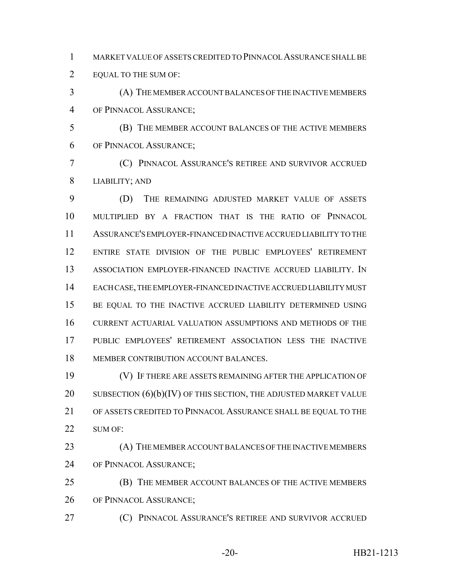MARKET VALUE OF ASSETS CREDITED TO PINNACOL ASSURANCE SHALL BE 2 EQUAL TO THE SUM OF:

 (A) THE MEMBER ACCOUNT BALANCES OF THE INACTIVE MEMBERS OF PINNACOL ASSURANCE;

 (B) THE MEMBER ACCOUNT BALANCES OF THE ACTIVE MEMBERS OF PINNACOL ASSURANCE;

 (C) PINNACOL ASSURANCE'S RETIREE AND SURVIVOR ACCRUED LIABILITY; AND

 (D) THE REMAINING ADJUSTED MARKET VALUE OF ASSETS MULTIPLIED BY A FRACTION THAT IS THE RATIO OF PINNACOL ASSURANCE'S EMPLOYER-FINANCED INACTIVE ACCRUED LIABILITY TO THE ENTIRE STATE DIVISION OF THE PUBLIC EMPLOYEES' RETIREMENT ASSOCIATION EMPLOYER-FINANCED INACTIVE ACCRUED LIABILITY. IN EACH CASE, THE EMPLOYER-FINANCED INACTIVE ACCRUED LIABILITY MUST 15 BE EQUAL TO THE INACTIVE ACCRUED LIABILITY DETERMINED USING CURRENT ACTUARIAL VALUATION ASSUMPTIONS AND METHODS OF THE PUBLIC EMPLOYEES' RETIREMENT ASSOCIATION LESS THE INACTIVE MEMBER CONTRIBUTION ACCOUNT BALANCES.

 (V) IF THERE ARE ASSETS REMAINING AFTER THE APPLICATION OF 20 SUBSECTION  $(6)(b)(IV)$  OF THIS SECTION, THE ADJUSTED MARKET VALUE OF ASSETS CREDITED TO PINNACOL ASSURANCE SHALL BE EQUAL TO THE 22 SUM OF:

 (A) THE MEMBER ACCOUNT BALANCES OF THE INACTIVE MEMBERS OF PINNACOL ASSURANCE;

 (B) THE MEMBER ACCOUNT BALANCES OF THE ACTIVE MEMBERS OF PINNACOL ASSURANCE;

(C) PINNACOL ASSURANCE'S RETIREE AND SURVIVOR ACCRUED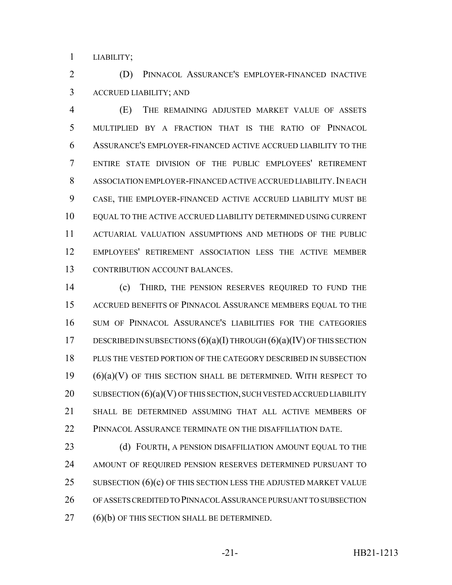LIABILITY;

 (D) PINNACOL ASSURANCE'S EMPLOYER-FINANCED INACTIVE ACCRUED LIABILITY; AND

 (E) THE REMAINING ADJUSTED MARKET VALUE OF ASSETS MULTIPLIED BY A FRACTION THAT IS THE RATIO OF PINNACOL ASSURANCE'S EMPLOYER-FINANCED ACTIVE ACCRUED LIABILITY TO THE ENTIRE STATE DIVISION OF THE PUBLIC EMPLOYEES' RETIREMENT 8 ASSOCIATION EMPLOYER-FINANCED ACTIVE ACCRUED LIABILITY. IN EACH CASE, THE EMPLOYER-FINANCED ACTIVE ACCRUED LIABILITY MUST BE EQUAL TO THE ACTIVE ACCRUED LIABILITY DETERMINED USING CURRENT ACTUARIAL VALUATION ASSUMPTIONS AND METHODS OF THE PUBLIC EMPLOYEES' RETIREMENT ASSOCIATION LESS THE ACTIVE MEMBER CONTRIBUTION ACCOUNT BALANCES.

 (c) THIRD, THE PENSION RESERVES REQUIRED TO FUND THE ACCRUED BENEFITS OF PINNACOL ASSURANCE MEMBERS EQUAL TO THE SUM OF PINNACOL ASSURANCE'S LIABILITIES FOR THE CATEGORIES 17 DESCRIBED IN SUBSECTIONS  $(6)(a)(I)$  THROUGH  $(6)(a)(IV)$  OF THIS SECTION PLUS THE VESTED PORTION OF THE CATEGORY DESCRIBED IN SUBSECTION (6)(a)(V) OF THIS SECTION SHALL BE DETERMINED. WITH RESPECT TO 20 SUBSECTION  $(6)(a)(V)$  OF THIS SECTION, SUCH VESTED ACCRUED LIABILITY SHALL BE DETERMINED ASSUMING THAT ALL ACTIVE MEMBERS OF PINNACOL ASSURANCE TERMINATE ON THE DISAFFILIATION DATE.

**(d) FOURTH, A PENSION DISAFFILIATION AMOUNT EQUAL TO THE**  AMOUNT OF REQUIRED PENSION RESERVES DETERMINED PURSUANT TO 25 SUBSECTION  $(6)(c)$  OF THIS SECTION LESS THE ADJUSTED MARKET VALUE OF ASSETS CREDITED TO PINNACOL ASSURANCE PURSUANT TO SUBSECTION (6)(b) OF THIS SECTION SHALL BE DETERMINED.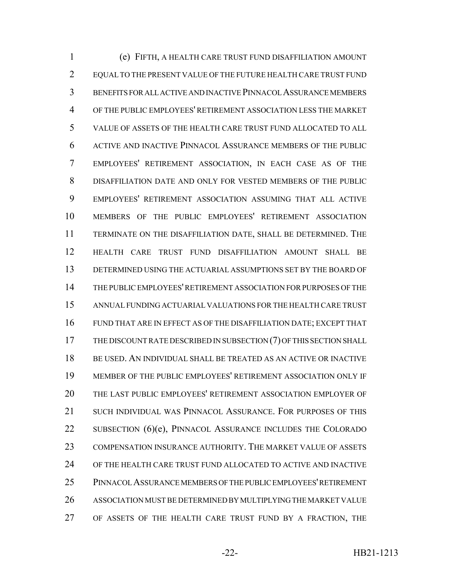(e) FIFTH, A HEALTH CARE TRUST FUND DISAFFILIATION AMOUNT EQUAL TO THE PRESENT VALUE OF THE FUTURE HEALTH CARE TRUST FUND BENEFITS FOR ALL ACTIVE AND INACTIVE PINNACOL ASSURANCE MEMBERS OF THE PUBLIC EMPLOYEES' RETIREMENT ASSOCIATION LESS THE MARKET VALUE OF ASSETS OF THE HEALTH CARE TRUST FUND ALLOCATED TO ALL ACTIVE AND INACTIVE PINNACOL ASSURANCE MEMBERS OF THE PUBLIC EMPLOYEES' RETIREMENT ASSOCIATION, IN EACH CASE AS OF THE DISAFFILIATION DATE AND ONLY FOR VESTED MEMBERS OF THE PUBLIC EMPLOYEES' RETIREMENT ASSOCIATION ASSUMING THAT ALL ACTIVE MEMBERS OF THE PUBLIC EMPLOYEES' RETIREMENT ASSOCIATION TERMINATE ON THE DISAFFILIATION DATE, SHALL BE DETERMINED. THE HEALTH CARE TRUST FUND DISAFFILIATION AMOUNT SHALL BE DETERMINED USING THE ACTUARIAL ASSUMPTIONS SET BY THE BOARD OF THE PUBLIC EMPLOYEES' RETIREMENT ASSOCIATION FOR PURPOSES OF THE ANNUAL FUNDING ACTUARIAL VALUATIONS FOR THE HEALTH CARE TRUST FUND THAT ARE IN EFFECT AS OF THE DISAFFILIATION DATE; EXCEPT THAT THE DISCOUNT RATE DESCRIBED IN SUBSECTION (7) OF THIS SECTION SHALL BE USED. AN INDIVIDUAL SHALL BE TREATED AS AN ACTIVE OR INACTIVE MEMBER OF THE PUBLIC EMPLOYEES' RETIREMENT ASSOCIATION ONLY IF THE LAST PUBLIC EMPLOYEES' RETIREMENT ASSOCIATION EMPLOYER OF SUCH INDIVIDUAL WAS PINNACOL ASSURANCE. FOR PURPOSES OF THIS 22 SUBSECTION (6)(e), PINNACOL ASSURANCE INCLUDES THE COLORADO COMPENSATION INSURANCE AUTHORITY. THE MARKET VALUE OF ASSETS OF THE HEALTH CARE TRUST FUND ALLOCATED TO ACTIVE AND INACTIVE PINNACOL ASSURANCE MEMBERS OF THE PUBLIC EMPLOYEES' RETIREMENT ASSOCIATION MUST BE DETERMINED BY MULTIPLYING THE MARKET VALUE OF ASSETS OF THE HEALTH CARE TRUST FUND BY A FRACTION, THE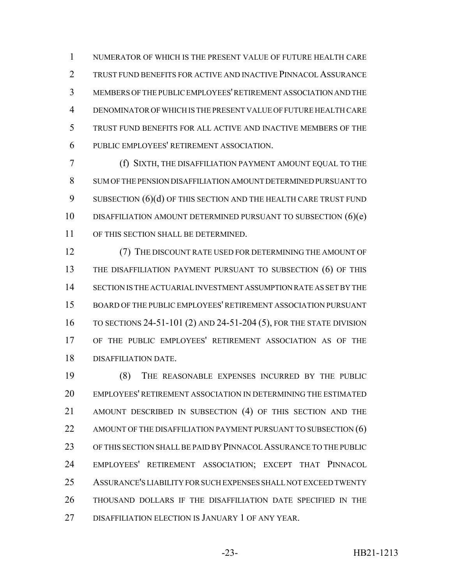NUMERATOR OF WHICH IS THE PRESENT VALUE OF FUTURE HEALTH CARE TRUST FUND BENEFITS FOR ACTIVE AND INACTIVE PINNACOL ASSURANCE MEMBERS OF THE PUBLIC EMPLOYEES' RETIREMENT ASSOCIATION AND THE DENOMINATOR OF WHICH IS THE PRESENT VALUE OF FUTURE HEALTH CARE TRUST FUND BENEFITS FOR ALL ACTIVE AND INACTIVE MEMBERS OF THE PUBLIC EMPLOYEES' RETIREMENT ASSOCIATION.

 (f) SIXTH, THE DISAFFILIATION PAYMENT AMOUNT EQUAL TO THE SUM OF THE PENSION DISAFFILIATION AMOUNT DETERMINED PURSUANT TO 9 SUBSECTION (6)(d) OF THIS SECTION AND THE HEALTH CARE TRUST FUND DISAFFILIATION AMOUNT DETERMINED PURSUANT TO SUBSECTION (6)(e) OF THIS SECTION SHALL BE DETERMINED.

12 (7) THE DISCOUNT RATE USED FOR DETERMINING THE AMOUNT OF THE DISAFFILIATION PAYMENT PURSUANT TO SUBSECTION (6) OF THIS SECTION IS THE ACTUARIAL INVESTMENT ASSUMPTION RATE AS SET BY THE BOARD OF THE PUBLIC EMPLOYEES' RETIREMENT ASSOCIATION PURSUANT TO SECTIONS 24-51-101 (2) AND 24-51-204 (5), FOR THE STATE DIVISION OF THE PUBLIC EMPLOYEES' RETIREMENT ASSOCIATION AS OF THE DISAFFILIATION DATE.

 (8) THE REASONABLE EXPENSES INCURRED BY THE PUBLIC EMPLOYEES' RETIREMENT ASSOCIATION IN DETERMINING THE ESTIMATED AMOUNT DESCRIBED IN SUBSECTION (4) OF THIS SECTION AND THE 22 AMOUNT OF THE DISAFFILIATION PAYMENT PURSUANT TO SUBSECTION (6) OF THIS SECTION SHALL BE PAID BY PINNACOL ASSURANCE TO THE PUBLIC EMPLOYEES' RETIREMENT ASSOCIATION; EXCEPT THAT PINNACOL ASSURANCE'S LIABILITY FOR SUCH EXPENSES SHALL NOT EXCEED TWENTY THOUSAND DOLLARS IF THE DISAFFILIATION DATE SPECIFIED IN THE DISAFFILIATION ELECTION IS JANUARY 1 OF ANY YEAR.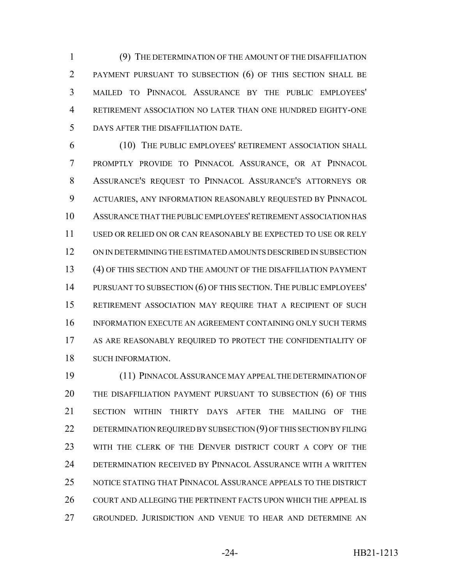(9) THE DETERMINATION OF THE AMOUNT OF THE DISAFFILIATION PAYMENT PURSUANT TO SUBSECTION (6) OF THIS SECTION SHALL BE MAILED TO PINNACOL ASSURANCE BY THE PUBLIC EMPLOYEES' RETIREMENT ASSOCIATION NO LATER THAN ONE HUNDRED EIGHTY-ONE DAYS AFTER THE DISAFFILIATION DATE.

 (10) THE PUBLIC EMPLOYEES' RETIREMENT ASSOCIATION SHALL PROMPTLY PROVIDE TO PINNACOL ASSURANCE, OR AT PINNACOL ASSURANCE'S REQUEST TO PINNACOL ASSURANCE'S ATTORNEYS OR ACTUARIES, ANY INFORMATION REASONABLY REQUESTED BY PINNACOL ASSURANCE THAT THE PUBLIC EMPLOYEES' RETIREMENT ASSOCIATION HAS USED OR RELIED ON OR CAN REASONABLY BE EXPECTED TO USE OR RELY ON IN DETERMINING THE ESTIMATED AMOUNTS DESCRIBED IN SUBSECTION (4) OF THIS SECTION AND THE AMOUNT OF THE DISAFFILIATION PAYMENT PURSUANT TO SUBSECTION (6) OF THIS SECTION. THE PUBLIC EMPLOYEES' RETIREMENT ASSOCIATION MAY REQUIRE THAT A RECIPIENT OF SUCH INFORMATION EXECUTE AN AGREEMENT CONTAINING ONLY SUCH TERMS AS ARE REASONABLY REQUIRED TO PROTECT THE CONFIDENTIALITY OF SUCH INFORMATION.

 (11) PINNACOL ASSURANCE MAY APPEAL THE DETERMINATION OF THE DISAFFILIATION PAYMENT PURSUANT TO SUBSECTION (6) OF THIS SECTION WITHIN THIRTY DAYS AFTER THE MAILING OF THE 22 DETERMINATION REQUIRED BY SUBSECTION (9) OF THIS SECTION BY FILING WITH THE CLERK OF THE DENVER DISTRICT COURT A COPY OF THE DETERMINATION RECEIVED BY PINNACOL ASSURANCE WITH A WRITTEN NOTICE STATING THAT PINNACOL ASSURANCE APPEALS TO THE DISTRICT 26 COURT AND ALLEGING THE PERTINENT FACTS UPON WHICH THE APPEAL IS GROUNDED. JURISDICTION AND VENUE TO HEAR AND DETERMINE AN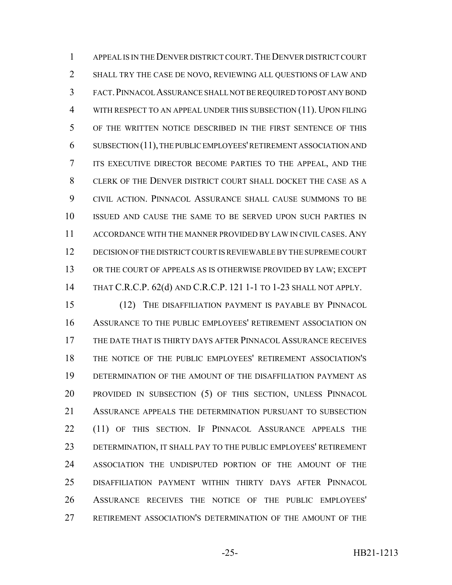1 APPEAL IS IN THE DENVER DISTRICT COURT. THE DENVER DISTRICT COURT SHALL TRY THE CASE DE NOVO, REVIEWING ALL QUESTIONS OF LAW AND FACT.PINNACOL ASSURANCE SHALL NOT BE REQUIRED TO POST ANY BOND 4 WITH RESPECT TO AN APPEAL UNDER THIS SUBSECTION (11). UPON FILING OF THE WRITTEN NOTICE DESCRIBED IN THE FIRST SENTENCE OF THIS SUBSECTION (11), THE PUBLIC EMPLOYEES' RETIREMENT ASSOCIATION AND ITS EXECUTIVE DIRECTOR BECOME PARTIES TO THE APPEAL, AND THE CLERK OF THE DENVER DISTRICT COURT SHALL DOCKET THE CASE AS A CIVIL ACTION. PINNACOL ASSURANCE SHALL CAUSE SUMMONS TO BE ISSUED AND CAUSE THE SAME TO BE SERVED UPON SUCH PARTIES IN ACCORDANCE WITH THE MANNER PROVIDED BY LAW IN CIVIL CASES. ANY DECISION OF THE DISTRICT COURT IS REVIEWABLE BY THE SUPREME COURT 13 OR THE COURT OF APPEALS AS IS OTHERWISE PROVIDED BY LAW; EXCEPT THAT C.R.C.P. 62(d) AND C.R.C.P. 121 1-1 TO 1-23 SHALL NOT APPLY.

 (12) THE DISAFFILIATION PAYMENT IS PAYABLE BY PINNACOL ASSURANCE TO THE PUBLIC EMPLOYEES' RETIREMENT ASSOCIATION ON THE DATE THAT IS THIRTY DAYS AFTER PINNACOL ASSURANCE RECEIVES THE NOTICE OF THE PUBLIC EMPLOYEES' RETIREMENT ASSOCIATION'S DETERMINATION OF THE AMOUNT OF THE DISAFFILIATION PAYMENT AS PROVIDED IN SUBSECTION (5) OF THIS SECTION, UNLESS PINNACOL ASSURANCE APPEALS THE DETERMINATION PURSUANT TO SUBSECTION 22 (11) OF THIS SECTION. IF PINNACOL ASSURANCE APPEALS THE DETERMINATION, IT SHALL PAY TO THE PUBLIC EMPLOYEES' RETIREMENT ASSOCIATION THE UNDISPUTED PORTION OF THE AMOUNT OF THE DISAFFILIATION PAYMENT WITHIN THIRTY DAYS AFTER PINNACOL ASSURANCE RECEIVES THE NOTICE OF THE PUBLIC EMPLOYEES' RETIREMENT ASSOCIATION'S DETERMINATION OF THE AMOUNT OF THE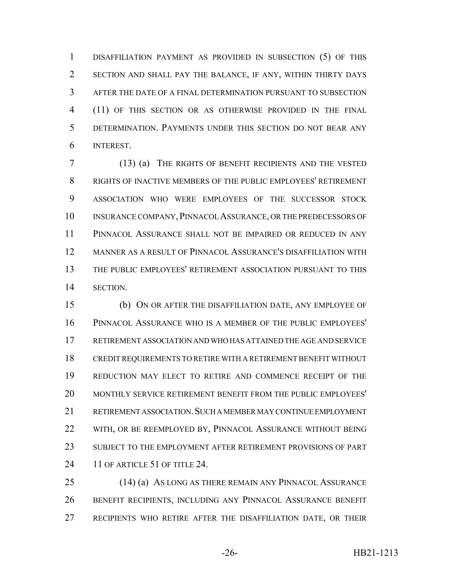DISAFFILIATION PAYMENT AS PROVIDED IN SUBSECTION (5) OF THIS SECTION AND SHALL PAY THE BALANCE, IF ANY, WITHIN THIRTY DAYS AFTER THE DATE OF A FINAL DETERMINATION PURSUANT TO SUBSECTION (11) OF THIS SECTION OR AS OTHERWISE PROVIDED IN THE FINAL DETERMINATION. PAYMENTS UNDER THIS SECTION DO NOT BEAR ANY INTEREST.

 (13) (a) THE RIGHTS OF BENEFIT RECIPIENTS AND THE VESTED RIGHTS OF INACTIVE MEMBERS OF THE PUBLIC EMPLOYEES' RETIREMENT ASSOCIATION WHO WERE EMPLOYEES OF THE SUCCESSOR STOCK INSURANCE COMPANY,PINNACOL ASSURANCE, OR THE PREDECESSORS OF PINNACOL ASSURANCE SHALL NOT BE IMPAIRED OR REDUCED IN ANY MANNER AS A RESULT OF PINNACOL ASSURANCE'S DISAFFILIATION WITH THE PUBLIC EMPLOYEES' RETIREMENT ASSOCIATION PURSUANT TO THIS SECTION.

 (b) ON OR AFTER THE DISAFFILIATION DATE, ANY EMPLOYEE OF PINNACOL ASSURANCE WHO IS A MEMBER OF THE PUBLIC EMPLOYEES' RETIREMENT ASSOCIATION AND WHO HAS ATTAINED THE AGE AND SERVICE CREDIT REQUIREMENTS TO RETIRE WITH A RETIREMENT BENEFIT WITHOUT REDUCTION MAY ELECT TO RETIRE AND COMMENCE RECEIPT OF THE MONTHLY SERVICE RETIREMENT BENEFIT FROM THE PUBLIC EMPLOYEES' RETIREMENT ASSOCIATION.SUCH A MEMBER MAY CONTINUE EMPLOYMENT 22 WITH, OR BE REEMPLOYED BY, PINNACOL ASSURANCE WITHOUT BEING SUBJECT TO THE EMPLOYMENT AFTER RETIREMENT PROVISIONS OF PART 24 11 OF ARTICLE 51 OF TITLE 24.

 (14) (a) AS LONG AS THERE REMAIN ANY PINNACOL ASSURANCE BENEFIT RECIPIENTS, INCLUDING ANY PINNACOL ASSURANCE BENEFIT RECIPIENTS WHO RETIRE AFTER THE DISAFFILIATION DATE, OR THEIR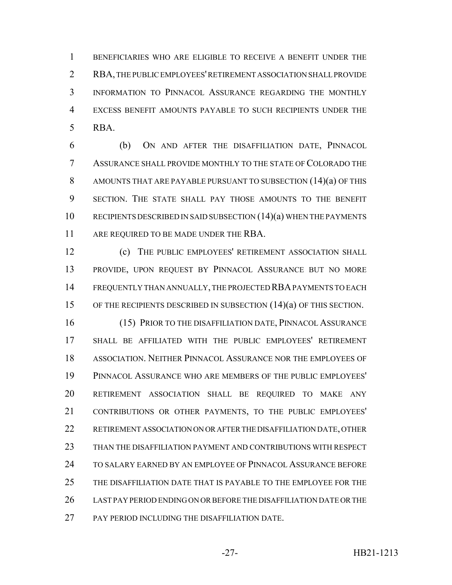BENEFICIARIES WHO ARE ELIGIBLE TO RECEIVE A BENEFIT UNDER THE RBA, THE PUBLIC EMPLOYEES' RETIREMENT ASSOCIATION SHALL PROVIDE INFORMATION TO PINNACOL ASSURANCE REGARDING THE MONTHLY EXCESS BENEFIT AMOUNTS PAYABLE TO SUCH RECIPIENTS UNDER THE RBA.

 (b) ON AND AFTER THE DISAFFILIATION DATE, PINNACOL ASSURANCE SHALL PROVIDE MONTHLY TO THE STATE OF COLORADO THE AMOUNTS THAT ARE PAYABLE PURSUANT TO SUBSECTION (14)(a) OF THIS SECTION. THE STATE SHALL PAY THOSE AMOUNTS TO THE BENEFIT 10 RECIPIENTS DESCRIBED IN SAID SUBSECTION (14)(a) WHEN THE PAYMENTS 11 ARE REQUIRED TO BE MADE UNDER THE RBA.

 (c) THE PUBLIC EMPLOYEES' RETIREMENT ASSOCIATION SHALL PROVIDE, UPON REQUEST BY PINNACOL ASSURANCE BUT NO MORE FREQUENTLY THAN ANNUALLY, THE PROJECTED RBA PAYMENTS TO EACH 15 OF THE RECIPIENTS DESCRIBED IN SUBSECTION (14)(a) OF THIS SECTION.

 (15) PRIOR TO THE DISAFFILIATION DATE, PINNACOL ASSURANCE SHALL BE AFFILIATED WITH THE PUBLIC EMPLOYEES' RETIREMENT ASSOCIATION. NEITHER PINNACOL ASSURANCE NOR THE EMPLOYEES OF PINNACOL ASSURANCE WHO ARE MEMBERS OF THE PUBLIC EMPLOYEES' RETIREMENT ASSOCIATION SHALL BE REQUIRED TO MAKE ANY CONTRIBUTIONS OR OTHER PAYMENTS, TO THE PUBLIC EMPLOYEES' RETIREMENT ASSOCIATION ON OR AFTER THE DISAFFILIATION DATE, OTHER THAN THE DISAFFILIATION PAYMENT AND CONTRIBUTIONS WITH RESPECT TO SALARY EARNED BY AN EMPLOYEE OF PINNACOL ASSURANCE BEFORE THE DISAFFILIATION DATE THAT IS PAYABLE TO THE EMPLOYEE FOR THE LAST PAY PERIOD ENDING ON OR BEFORE THE DISAFFILIATION DATE OR THE 27 PAY PERIOD INCLUDING THE DISAFFILIATION DATE.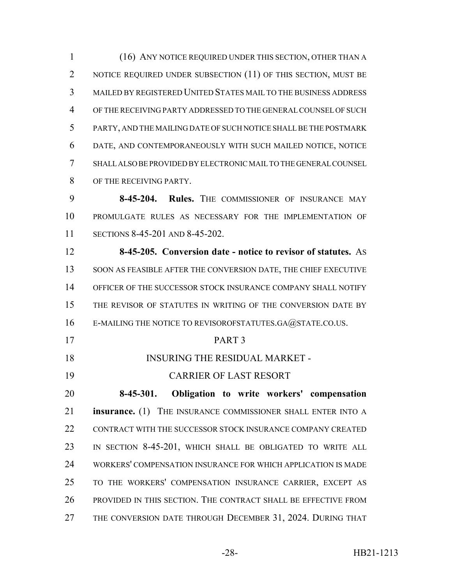(16) ANY NOTICE REQUIRED UNDER THIS SECTION, OTHER THAN A 2 NOTICE REQUIRED UNDER SUBSECTION (11) OF THIS SECTION, MUST BE MAILED BY REGISTERED UNITED STATES MAIL TO THE BUSINESS ADDRESS OF THE RECEIVING PARTY ADDRESSED TO THE GENERAL COUNSEL OF SUCH PARTY, AND THE MAILING DATE OF SUCH NOTICE SHALL BE THE POSTMARK DATE, AND CONTEMPORANEOUSLY WITH SUCH MAILED NOTICE, NOTICE SHALL ALSO BE PROVIDED BY ELECTRONIC MAIL TO THE GENERAL COUNSEL OF THE RECEIVING PARTY.

 **8-45-204. Rules.** THE COMMISSIONER OF INSURANCE MAY PROMULGATE RULES AS NECESSARY FOR THE IMPLEMENTATION OF SECTIONS 8-45-201 AND 8-45-202.

 **8-45-205. Conversion date - notice to revisor of statutes.** AS 13 SOON AS FEASIBLE AFTER THE CONVERSION DATE, THE CHIEF EXECUTIVE OFFICER OF THE SUCCESSOR STOCK INSURANCE COMPANY SHALL NOTIFY 15 THE REVISOR OF STATUTES IN WRITING OF THE CONVERSION DATE BY 16 E-MAILING THE NOTICE TO REVISOROFSTATUTES.GA@STATE.CO.US.

- PART 3
- 18 INSURING THE RESIDUAL MARKET -
- CARRIER OF LAST RESORT

 **8-45-301. Obligation to write workers' compensation insurance.** (1) THE INSURANCE COMMISSIONER SHALL ENTER INTO A CONTRACT WITH THE SUCCESSOR STOCK INSURANCE COMPANY CREATED 23 IN SECTION 8-45-201, WHICH SHALL BE OBLIGATED TO WRITE ALL WORKERS' COMPENSATION INSURANCE FOR WHICH APPLICATION IS MADE TO THE WORKERS' COMPENSATION INSURANCE CARRIER, EXCEPT AS PROVIDED IN THIS SECTION. THE CONTRACT SHALL BE EFFECTIVE FROM 27 THE CONVERSION DATE THROUGH DECEMBER 31, 2024. DURING THAT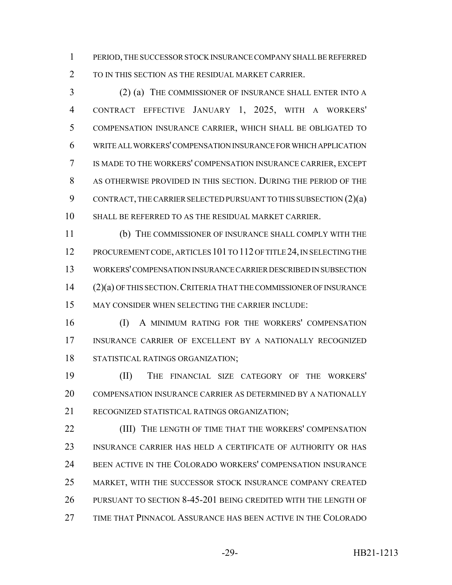PERIOD, THE SUCCESSOR STOCK INSURANCE COMPANY SHALL BE REFERRED

TO IN THIS SECTION AS THE RESIDUAL MARKET CARRIER.

 (2) (a) THE COMMISSIONER OF INSURANCE SHALL ENTER INTO A CONTRACT EFFECTIVE JANUARY 1, 2025, WITH A WORKERS' COMPENSATION INSURANCE CARRIER, WHICH SHALL BE OBLIGATED TO WRITE ALL WORKERS' COMPENSATION INSURANCE FOR WHICH APPLICATION IS MADE TO THE WORKERS' COMPENSATION INSURANCE CARRIER, EXCEPT AS OTHERWISE PROVIDED IN THIS SECTION. DURING THE PERIOD OF THE CONTRACT, THE CARRIER SELECTED PURSUANT TO THIS SUBSECTION (2)(a) SHALL BE REFERRED TO AS THE RESIDUAL MARKET CARRIER.

 (b) THE COMMISSIONER OF INSURANCE SHALL COMPLY WITH THE 12 PROCUREMENT CODE, ARTICLES 101 TO 112 OF TITLE 24, IN SELECTING THE WORKERS' COMPENSATION INSURANCE CARRIER DESCRIBED IN SUBSECTION (2)(a) OF THIS SECTION.CRITERIA THAT THE COMMISSIONER OF INSURANCE MAY CONSIDER WHEN SELECTING THE CARRIER INCLUDE:

 (I) A MINIMUM RATING FOR THE WORKERS' COMPENSATION INSURANCE CARRIER OF EXCELLENT BY A NATIONALLY RECOGNIZED STATISTICAL RATINGS ORGANIZATION;

 (II) THE FINANCIAL SIZE CATEGORY OF THE WORKERS' COMPENSATION INSURANCE CARRIER AS DETERMINED BY A NATIONALLY RECOGNIZED STATISTICAL RATINGS ORGANIZATION;

**(III)** THE LENGTH OF TIME THAT THE WORKERS' COMPENSATION INSURANCE CARRIER HAS HELD A CERTIFICATE OF AUTHORITY OR HAS BEEN ACTIVE IN THE COLORADO WORKERS' COMPENSATION INSURANCE MARKET, WITH THE SUCCESSOR STOCK INSURANCE COMPANY CREATED PURSUANT TO SECTION 8-45-201 BEING CREDITED WITH THE LENGTH OF TIME THAT PINNACOL ASSURANCE HAS BEEN ACTIVE IN THE COLORADO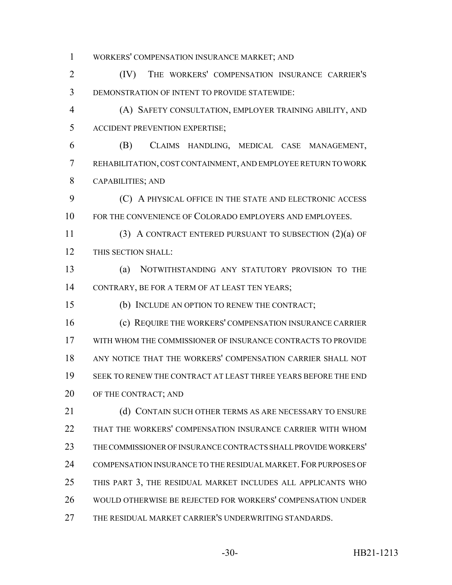WORKERS' COMPENSATION INSURANCE MARKET; AND

 (IV) THE WORKERS' COMPENSATION INSURANCE CARRIER'S DEMONSTRATION OF INTENT TO PROVIDE STATEWIDE:

 (A) SAFETY CONSULTATION, EMPLOYER TRAINING ABILITY, AND ACCIDENT PREVENTION EXPERTISE;

 (B) CLAIMS HANDLING, MEDICAL CASE MANAGEMENT, REHABILITATION, COST CONTAINMENT, AND EMPLOYEE RETURN TO WORK CAPABILITIES; AND

 (C) A PHYSICAL OFFICE IN THE STATE AND ELECTRONIC ACCESS FOR THE CONVENIENCE OF COLORADO EMPLOYERS AND EMPLOYEES.

 (3) A CONTRACT ENTERED PURSUANT TO SUBSECTION (2)(a) OF THIS SECTION SHALL:

 (a) NOTWITHSTANDING ANY STATUTORY PROVISION TO THE CONTRARY, BE FOR A TERM OF AT LEAST TEN YEARS;

(b) INCLUDE AN OPTION TO RENEW THE CONTRACT;

 (c) REQUIRE THE WORKERS' COMPENSATION INSURANCE CARRIER WITH WHOM THE COMMISSIONER OF INSURANCE CONTRACTS TO PROVIDE ANY NOTICE THAT THE WORKERS' COMPENSATION CARRIER SHALL NOT SEEK TO RENEW THE CONTRACT AT LEAST THREE YEARS BEFORE THE END 20 OF THE CONTRACT; AND

21 (d) CONTAIN SUCH OTHER TERMS AS ARE NECESSARY TO ENSURE THAT THE WORKERS' COMPENSATION INSURANCE CARRIER WITH WHOM THE COMMISSIONER OF INSURANCE CONTRACTS SHALL PROVIDE WORKERS' 24 COMPENSATION INSURANCE TO THE RESIDUAL MARKET. FOR PURPOSES OF THIS PART 3, THE RESIDUAL MARKET INCLUDES ALL APPLICANTS WHO WOULD OTHERWISE BE REJECTED FOR WORKERS' COMPENSATION UNDER THE RESIDUAL MARKET CARRIER'S UNDERWRITING STANDARDS.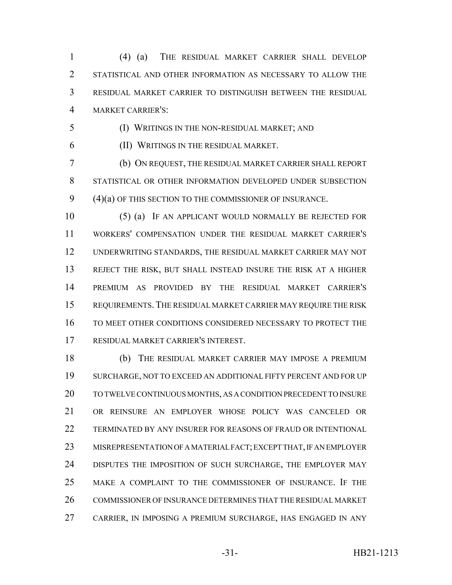(4) (a) THE RESIDUAL MARKET CARRIER SHALL DEVELOP STATISTICAL AND OTHER INFORMATION AS NECESSARY TO ALLOW THE RESIDUAL MARKET CARRIER TO DISTINGUISH BETWEEN THE RESIDUAL MARKET CARRIER'S:

(I) WRITINGS IN THE NON-RESIDUAL MARKET; AND

(II) WRITINGS IN THE RESIDUAL MARKET.

 (b) ON REQUEST, THE RESIDUAL MARKET CARRIER SHALL REPORT STATISTICAL OR OTHER INFORMATION DEVELOPED UNDER SUBSECTION (4)(a) OF THIS SECTION TO THE COMMISSIONER OF INSURANCE.

 (5) (a) IF AN APPLICANT WOULD NORMALLY BE REJECTED FOR WORKERS' COMPENSATION UNDER THE RESIDUAL MARKET CARRIER'S UNDERWRITING STANDARDS, THE RESIDUAL MARKET CARRIER MAY NOT REJECT THE RISK, BUT SHALL INSTEAD INSURE THE RISK AT A HIGHER PREMIUM AS PROVIDED BY THE RESIDUAL MARKET CARRIER'S REQUIREMENTS.THE RESIDUAL MARKET CARRIER MAY REQUIRE THE RISK TO MEET OTHER CONDITIONS CONSIDERED NECESSARY TO PROTECT THE RESIDUAL MARKET CARRIER'S INTEREST.

 (b) THE RESIDUAL MARKET CARRIER MAY IMPOSE A PREMIUM SURCHARGE, NOT TO EXCEED AN ADDITIONAL FIFTY PERCENT AND FOR UP TO TWELVE CONTINUOUS MONTHS, AS A CONDITION PRECEDENT TO INSURE OR REINSURE AN EMPLOYER WHOSE POLICY WAS CANCELED OR TERMINATED BY ANY INSURER FOR REASONS OF FRAUD OR INTENTIONAL MISREPRESENTATION OF A MATERIAL FACT; EXCEPT THAT, IF AN EMPLOYER 24 DISPUTES THE IMPOSITION OF SUCH SURCHARGE, THE EMPLOYER MAY MAKE A COMPLAINT TO THE COMMISSIONER OF INSURANCE. IF THE COMMISSIONER OF INSURANCE DETERMINES THAT THE RESIDUAL MARKET CARRIER, IN IMPOSING A PREMIUM SURCHARGE, HAS ENGAGED IN ANY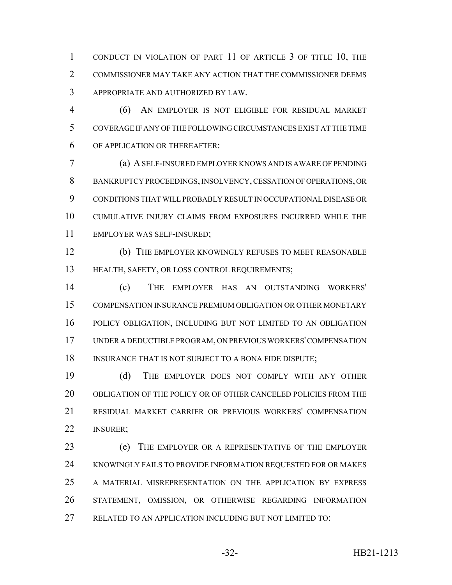CONDUCT IN VIOLATION OF PART 11 OF ARTICLE 3 OF TITLE 10, THE COMMISSIONER MAY TAKE ANY ACTION THAT THE COMMISSIONER DEEMS APPROPRIATE AND AUTHORIZED BY LAW.

 (6) AN EMPLOYER IS NOT ELIGIBLE FOR RESIDUAL MARKET COVERAGE IF ANY OF THE FOLLOWING CIRCUMSTANCES EXIST AT THE TIME OF APPLICATION OR THEREAFTER:

 (a) A SELF-INSURED EMPLOYER KNOWS AND IS AWARE OF PENDING BANKRUPTCY PROCEEDINGS, INSOLVENCY, CESSATION OF OPERATIONS, OR CONDITIONS THAT WILL PROBABLY RESULT IN OCCUPATIONAL DISEASE OR CUMULATIVE INJURY CLAIMS FROM EXPOSURES INCURRED WHILE THE EMPLOYER WAS SELF-INSURED;

 (b) THE EMPLOYER KNOWINGLY REFUSES TO MEET REASONABLE HEALTH, SAFETY, OR LOSS CONTROL REQUIREMENTS;

 (c) THE EMPLOYER HAS AN OUTSTANDING WORKERS' COMPENSATION INSURANCE PREMIUM OBLIGATION OR OTHER MONETARY POLICY OBLIGATION, INCLUDING BUT NOT LIMITED TO AN OBLIGATION UNDER A DEDUCTIBLE PROGRAM, ON PREVIOUS WORKERS' COMPENSATION 18 INSURANCE THAT IS NOT SUBJECT TO A BONA FIDE DISPUTE;

 (d) THE EMPLOYER DOES NOT COMPLY WITH ANY OTHER OBLIGATION OF THE POLICY OR OF OTHER CANCELED POLICIES FROM THE RESIDUAL MARKET CARRIER OR PREVIOUS WORKERS' COMPENSATION INSURER;

 (e) THE EMPLOYER OR A REPRESENTATIVE OF THE EMPLOYER KNOWINGLY FAILS TO PROVIDE INFORMATION REQUESTED FOR OR MAKES A MATERIAL MISREPRESENTATION ON THE APPLICATION BY EXPRESS STATEMENT, OMISSION, OR OTHERWISE REGARDING INFORMATION RELATED TO AN APPLICATION INCLUDING BUT NOT LIMITED TO: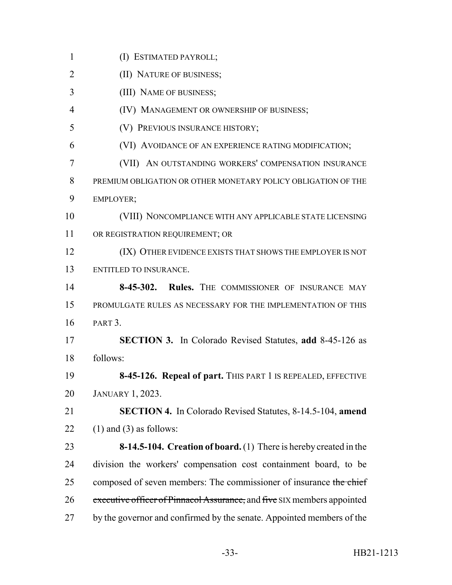- (I) ESTIMATED PAYROLL;
- **(II) NATURE OF BUSINESS;**
- (III) NAME OF BUSINESS;
- 4 (IV) MANAGEMENT OR OWNERSHIP OF BUSINESS;
- (V) PREVIOUS INSURANCE HISTORY;
- (VI) AVOIDANCE OF AN EXPERIENCE RATING MODIFICATION;
- (VII) AN OUTSTANDING WORKERS' COMPENSATION INSURANCE PREMIUM OBLIGATION OR OTHER MONETARY POLICY OBLIGATION OF THE EMPLOYER;
- (VIII) NONCOMPLIANCE WITH ANY APPLICABLE STATE LICENSING OR REGISTRATION REQUIREMENT; OR
- **ICE IS NOT UP AT A LOCAL TO A LOCAL THAT SHOWS THE EMPLOYER IS NOT** ENTITLED TO INSURANCE.
- **8-45-302. Rules.** THE COMMISSIONER OF INSURANCE MAY PROMULGATE RULES AS NECESSARY FOR THE IMPLEMENTATION OF THIS PART 3.
- **SECTION 3.** In Colorado Revised Statutes, **add** 8-45-126 as follows:
- **8-45-126. Repeal of part.** THIS PART 1 IS REPEALED, EFFECTIVE JANUARY 1, 2023.
- **SECTION 4.** In Colorado Revised Statutes, 8-14.5-104, **amend** 22 (1) and (3) as follows:
- **8-14.5-104. Creation of board.** (1) There is hereby created in the division the workers' compensation cost containment board, to be 25 composed of seven members: The commissioner of insurance the chief 26 executive officer of Pinnacol Assurance, and five SIX members appointed 27 by the governor and confirmed by the senate. Appointed members of the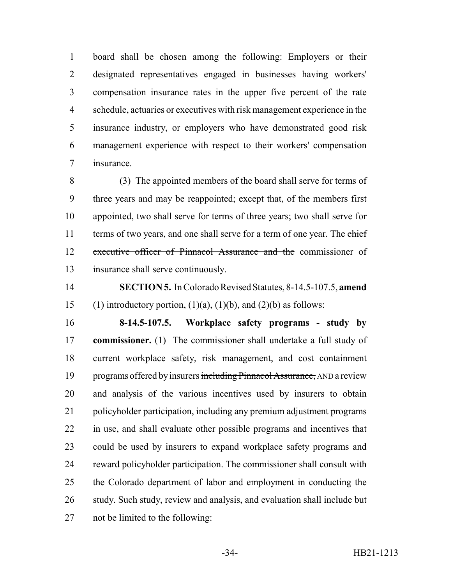board shall be chosen among the following: Employers or their designated representatives engaged in businesses having workers' compensation insurance rates in the upper five percent of the rate schedule, actuaries or executives with risk management experience in the insurance industry, or employers who have demonstrated good risk management experience with respect to their workers' compensation insurance.

 (3) The appointed members of the board shall serve for terms of three years and may be reappointed; except that, of the members first appointed, two shall serve for terms of three years; two shall serve for 11 terms of two years, and one shall serve for a term of one year. The chief executive officer of Pinnacol Assurance and the commissioner of insurance shall serve continuously.

 **SECTION 5.** In Colorado Revised Statutes, 8-14.5-107.5, **amend** 15 (1) introductory portion,  $(1)(a)$ ,  $(1)(b)$ , and  $(2)(b)$  as follows:

 **8-14.5-107.5. Workplace safety programs - study by commissioner.** (1) The commissioner shall undertake a full study of current workplace safety, risk management, and cost containment 19 programs offered by insurers including Pinnacol Assurance, AND a review and analysis of the various incentives used by insurers to obtain policyholder participation, including any premium adjustment programs in use, and shall evaluate other possible programs and incentives that could be used by insurers to expand workplace safety programs and reward policyholder participation. The commissioner shall consult with the Colorado department of labor and employment in conducting the 26 study. Such study, review and analysis, and evaluation shall include but not be limited to the following: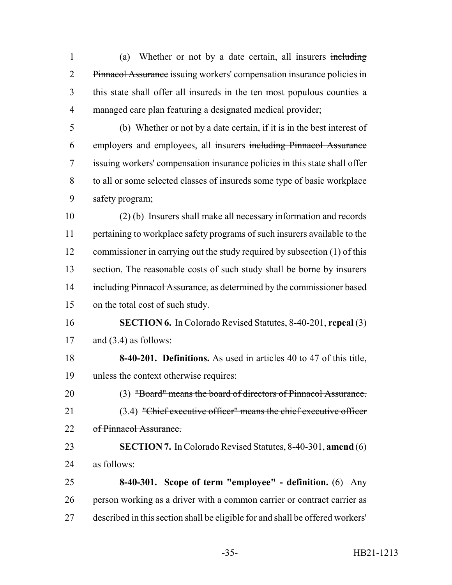1 (a) Whether or not by a date certain, all insurers including Pinnacol Assurance issuing workers' compensation insurance policies in this state shall offer all insureds in the ten most populous counties a managed care plan featuring a designated medical provider;

 (b) Whether or not by a date certain, if it is in the best interest of employers and employees, all insurers including Pinnacol Assurance issuing workers' compensation insurance policies in this state shall offer to all or some selected classes of insureds some type of basic workplace safety program;

 (2) (b) Insurers shall make all necessary information and records pertaining to workplace safety programs of such insurers available to the commissioner in carrying out the study required by subsection (1) of this section. The reasonable costs of such study shall be borne by insurers 14 including Pinnacol Assurance, as determined by the commissioner based on the total cost of such study.

- **SECTION 6.** In Colorado Revised Statutes, 8-40-201, **repeal** (3) 17 and  $(3.4)$  as follows:
- **8-40-201. Definitions.** As used in articles 40 to 47 of this title, unless the context otherwise requires:

 (3) "Board" means the board of directors of Pinnacol Assurance. (3.4) "Chief executive officer" means the chief executive officer 22 of Pinnacol Assurance.

- **SECTION 7.** In Colorado Revised Statutes, 8-40-301, **amend** (6) as follows:
- **8-40-301. Scope of term "employee" definition.** (6) Any person working as a driver with a common carrier or contract carrier as described in this section shall be eligible for and shall be offered workers'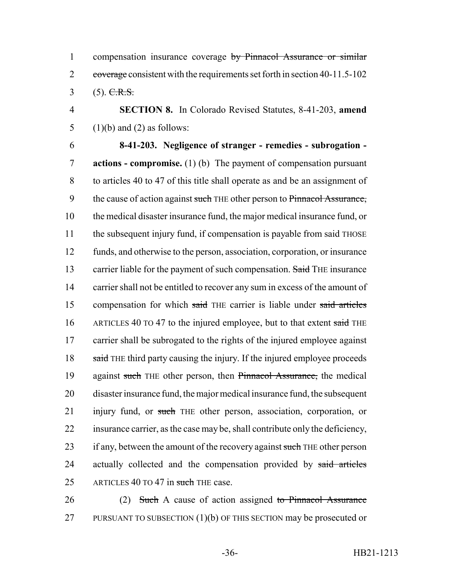1 compensation insurance coverage by Pinnacol Assurance or similar 2 coverage consistent with the requirements set forth in section 40-11.5-102  $3$  (5). C.R.S.

4 **SECTION 8.** In Colorado Revised Statutes, 8-41-203, **amend** 5 (1)(b) and (2) as follows:

6 **8-41-203. Negligence of stranger - remedies - subrogation -** 7 **actions - compromise.** (1) (b) The payment of compensation pursuant 8 to articles 40 to 47 of this title shall operate as and be an assignment of 9 the cause of action against such THE other person to Pinnacol Assurance, 10 the medical disaster insurance fund, the major medical insurance fund, or 11 the subsequent injury fund, if compensation is payable from said THOSE 12 funds, and otherwise to the person, association, corporation, or insurance 13 carrier liable for the payment of such compensation. Said THE insurance 14 carrier shall not be entitled to recover any sum in excess of the amount of 15 compensation for which said THE carrier is liable under said articles 16 ARTICLES 40 TO 47 to the injured employee, but to that extent said THE 17 carrier shall be subrogated to the rights of the injured employee against 18 said THE third party causing the injury. If the injured employee proceeds 19 against such THE other person, then Pinnacol Assurance, the medical 20 disaster insurance fund, the major medical insurance fund, the subsequent 21 injury fund, or such THE other person, association, corporation, or 22 insurance carrier, as the case may be, shall contribute only the deficiency, 23 if any, between the amount of the recovery against such THE other person 24 actually collected and the compensation provided by said articles 25 ARTICLES 40 TO 47 in such THE case.

26 (2) Such A cause of action assigned to Pinnacol Assurance 27 PURSUANT TO SUBSECTION  $(1)(b)$  OF THIS SECTION may be prosecuted or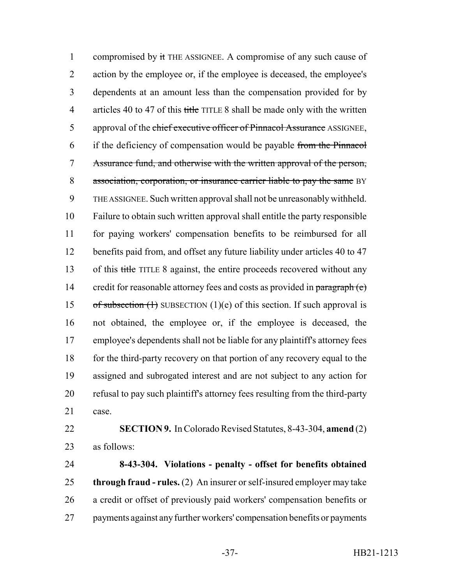1 compromised by it THE ASSIGNEE. A compromise of any such cause of action by the employee or, if the employee is deceased, the employee's dependents at an amount less than the compensation provided for by 4 articles 40 to 47 of this title TITLE 8 shall be made only with the written 5 approval of the chief executive officer of Pinnacol Assurance ASSIGNEE, if the deficiency of compensation would be payable from the Pinnacol Assurance fund, and otherwise with the written approval of the person, association, corporation, or insurance carrier liable to pay the same BY THE ASSIGNEE. Such written approval shall not be unreasonably withheld. Failure to obtain such written approval shall entitle the party responsible for paying workers' compensation benefits to be reimbursed for all 12 benefits paid from, and offset any future liability under articles 40 to 47 13 of this title TITLE 8 against, the entire proceeds recovered without any 14 credit for reasonable attorney fees and costs as provided in paragraph (e) 15 of subsection  $(1)$  SUBSECTION  $(1)(e)$  of this section. If such approval is not obtained, the employee or, if the employee is deceased, the employee's dependents shall not be liable for any plaintiff's attorney fees 18 for the third-party recovery on that portion of any recovery equal to the assigned and subrogated interest and are not subject to any action for refusal to pay such plaintiff's attorney fees resulting from the third-party case.

 **SECTION 9.** In Colorado Revised Statutes, 8-43-304, **amend** (2) as follows:

 **8-43-304. Violations - penalty - offset for benefits obtained through fraud - rules.** (2) An insurer or self-insured employer may take a credit or offset of previously paid workers' compensation benefits or payments against any further workers' compensation benefits or payments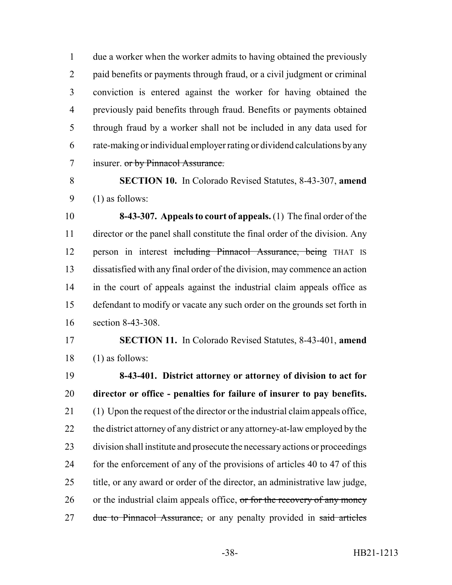due a worker when the worker admits to having obtained the previously paid benefits or payments through fraud, or a civil judgment or criminal conviction is entered against the worker for having obtained the previously paid benefits through fraud. Benefits or payments obtained through fraud by a worker shall not be included in any data used for rate-making or individual employer rating or dividend calculations by any 7 insurer. or by Pinnacol Assurance.

 **SECTION 10.** In Colorado Revised Statutes, 8-43-307, **amend** (1) as follows:

 **8-43-307. Appeals to court of appeals.** (1) The final order of the director or the panel shall constitute the final order of the division. Any 12 person in interest including Pinnacol Assurance, being THAT IS dissatisfied with any final order of the division, may commence an action in the court of appeals against the industrial claim appeals office as defendant to modify or vacate any such order on the grounds set forth in section 8-43-308.

 **SECTION 11.** In Colorado Revised Statutes, 8-43-401, **amend** (1) as follows:

 **8-43-401. District attorney or attorney of division to act for director or office - penalties for failure of insurer to pay benefits.** (1) Upon the request of the director or the industrial claim appeals office, 22 the district attorney of any district or any attorney-at-law employed by the division shall institute and prosecute the necessary actions or proceedings 24 for the enforcement of any of the provisions of articles 40 to 47 of this title, or any award or order of the director, an administrative law judge, 26 or the industrial claim appeals office, or for the recovery of any money 27 due to Pinnacol Assurance, or any penalty provided in said articles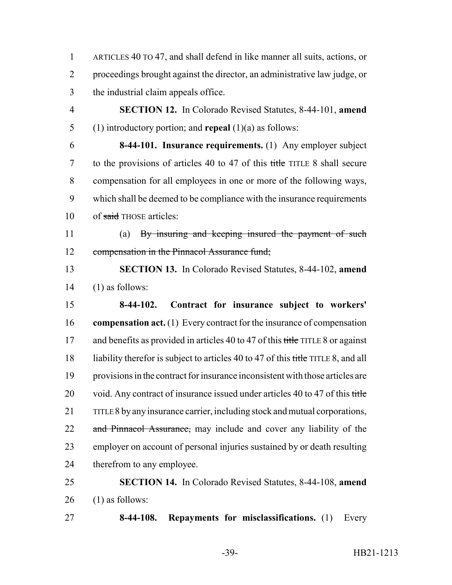ARTICLES 40 TO 47, and shall defend in like manner all suits, actions, or proceedings brought against the director, an administrative law judge, or the industrial claim appeals office.

 **SECTION 12.** In Colorado Revised Statutes, 8-44-101, **amend** (1) introductory portion; and **repeal** (1)(a) as follows:

 **8-44-101. Insurance requirements.** (1) Any employer subject 7 to the provisions of articles 40 to 47 of this title TITLE 8 shall secure compensation for all employees in one or more of the following ways, which shall be deemed to be compliance with the insurance requirements 10 of said THOSE articles:

 (a) By insuring and keeping insured the payment of such 12 compensation in the Pinnacol Assurance fund;

 **SECTION 13.** In Colorado Revised Statutes, 8-44-102, **amend** (1) as follows:

 **8-44-102. Contract for insurance subject to workers' compensation act.** (1) Every contract for the insurance of compensation 17 and benefits as provided in articles 40 to 47 of this title TITLE 8 or against 18 liability therefor is subject to articles 40 to 47 of this title TITLE 8, and all provisions in the contract for insurance inconsistent with those articles are 20 void. Any contract of insurance issued under articles 40 to 47 of this title TITLE 8 by any insurance carrier, including stock and mutual corporations, 22 and Pinnacol Assurance, may include and cover any liability of the employer on account of personal injuries sustained by or death resulting therefrom to any employee.

 **SECTION 14.** In Colorado Revised Statutes, 8-44-108, **amend** (1) as follows:

**8-44-108. Repayments for misclassifications.** (1) Every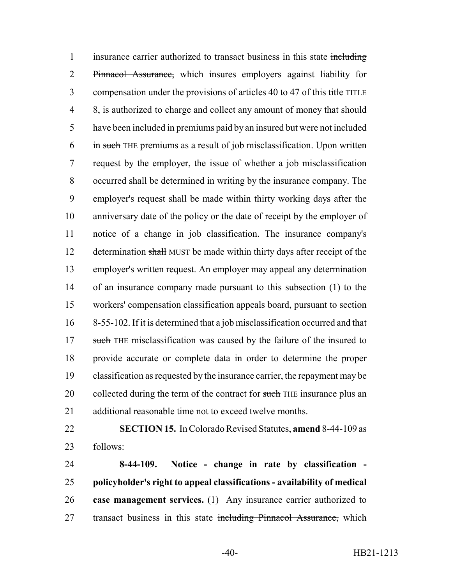1 insurance carrier authorized to transact business in this state including 2 Pinnacol Assurance, which insures employers against liability for 3 compensation under the provisions of articles 40 to 47 of this title TITLE 8, is authorized to charge and collect any amount of money that should have been included in premiums paid by an insured but were not included in such THE premiums as a result of job misclassification. Upon written request by the employer, the issue of whether a job misclassification occurred shall be determined in writing by the insurance company. The employer's request shall be made within thirty working days after the anniversary date of the policy or the date of receipt by the employer of notice of a change in job classification. The insurance company's 12 determination shall MUST be made within thirty days after receipt of the employer's written request. An employer may appeal any determination of an insurance company made pursuant to this subsection (1) to the workers' compensation classification appeals board, pursuant to section 8-55-102. If it is determined that a job misclassification occurred and that 17 such THE misclassification was caused by the failure of the insured to provide accurate or complete data in order to determine the proper classification as requested by the insurance carrier, the repayment may be 20 collected during the term of the contract for such THE insurance plus an additional reasonable time not to exceed twelve months.

 **SECTION 15.** In Colorado Revised Statutes, **amend** 8-44-109 as follows:

 **8-44-109. Notice - change in rate by classification - policyholder's right to appeal classifications - availability of medical case management services.** (1) Any insurance carrier authorized to 27 transact business in this state including Pinnacol Assurance, which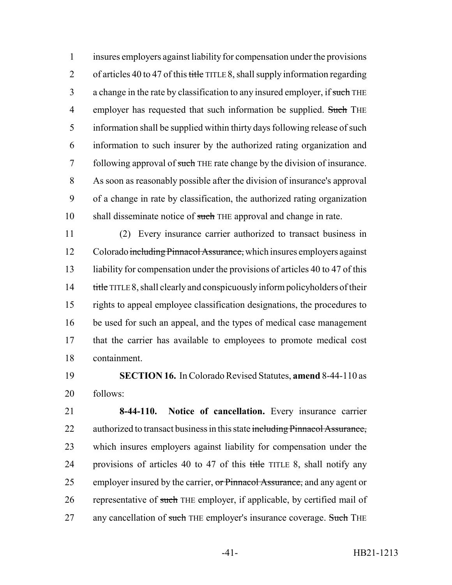1 insures employers against liability for compensation under the provisions 2 of articles 40 to 47 of this title TITLE 8, shall supply information regarding 3 a change in the rate by classification to any insured employer, if such THE 4 employer has requested that such information be supplied. Such THE 5 information shall be supplied within thirty days following release of such 6 information to such insurer by the authorized rating organization and 7 following approval of such THE rate change by the division of insurance. 8 As soon as reasonably possible after the division of insurance's approval 9 of a change in rate by classification, the authorized rating organization 10 shall disseminate notice of such THE approval and change in rate.

 (2) Every insurance carrier authorized to transact business in 12 Colorado including Pinnacol Assurance, which insures employers against 13 liability for compensation under the provisions of articles 40 to 47 of this 14 title TITLE 8, shall clearly and conspicuously inform policyholders of their rights to appeal employee classification designations, the procedures to be used for such an appeal, and the types of medical case management that the carrier has available to employees to promote medical cost containment.

19 **SECTION 16.** In Colorado Revised Statutes, **amend** 8-44-110 as 20 follows:

21 **8-44-110. Notice of cancellation.** Every insurance carrier 22 authorized to transact business in this state including Pinnacol Assurance, 23 which insures employers against liability for compensation under the 24 provisions of articles 40 to 47 of this title TITLE 8, shall notify any 25 employer insured by the carrier, or Pinnacol Assurance, and any agent or 26 representative of such THE employer, if applicable, by certified mail of 27 any cancellation of such THE employer's insurance coverage. Such THE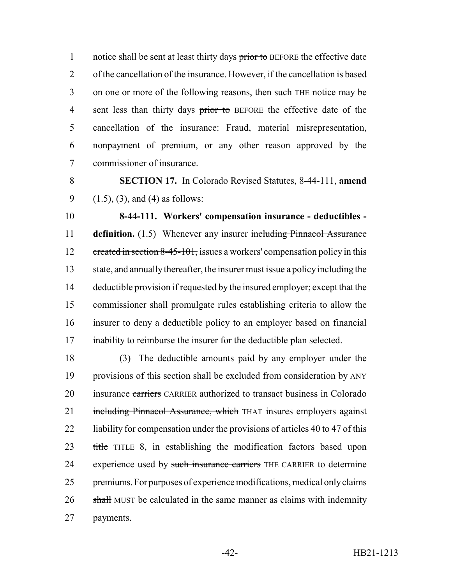1 notice shall be sent at least thirty days prior to BEFORE the effective date 2 of the cancellation of the insurance. However, if the cancellation is based 3 on one or more of the following reasons, then such THE notice may be 4 sent less than thirty days prior to BEFORE the effective date of the 5 cancellation of the insurance: Fraud, material misrepresentation, 6 nonpayment of premium, or any other reason approved by the 7 commissioner of insurance.

8 **SECTION 17.** In Colorado Revised Statutes, 8-44-111, **amend** 9  $(1.5)$ ,  $(3)$ , and  $(4)$  as follows:

 **8-44-111. Workers' compensation insurance - deductibles - definition.** (1.5) Whenever any insurer including Pinnacol Assurance 12 created in section 8-45-101, issues a workers' compensation policy in this state, and annually thereafter, the insurer must issue a policy including the deductible provision if requested by the insured employer; except that the commissioner shall promulgate rules establishing criteria to allow the insurer to deny a deductible policy to an employer based on financial inability to reimburse the insurer for the deductible plan selected.

18 (3) The deductible amounts paid by any employer under the 19 provisions of this section shall be excluded from consideration by ANY 20 insurance carriers CARRIER authorized to transact business in Colorado 21 including Pinnacol Assurance, which THAT insures employers against 22 liability for compensation under the provisions of articles 40 to 47 of this 23 title TITLE 8, in establishing the modification factors based upon 24 experience used by such insurance carriers THE CARRIER to determine 25 premiums. For purposes of experience modifications, medical only claims 26 shall MUST be calculated in the same manner as claims with indemnity 27 payments.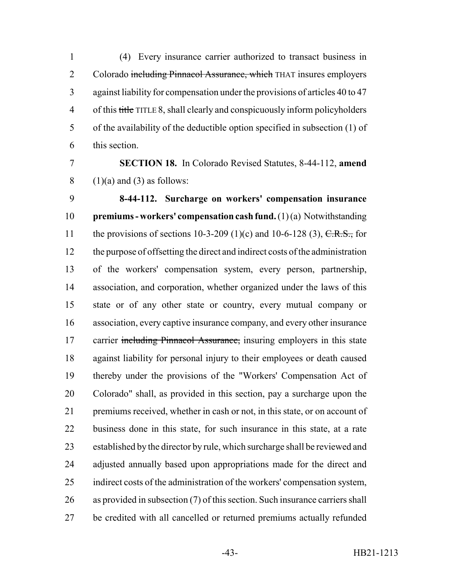(4) Every insurance carrier authorized to transact business in 2 Colorado including Pinnacol Assurance, which THAT insures employers against liability for compensation under the provisions of articles 40 to 47 4 of this title TITLE 8, shall clearly and conspicuously inform policyholders of the availability of the deductible option specified in subsection (1) of this section.

## **SECTION 18.** In Colorado Revised Statutes, 8-44-112, **amend** (1)(a) and (3) as follows:

 **8-44-112. Surcharge on workers' compensation insurance premiums - workers' compensation cash fund.** (1) (a) Notwithstanding 11 the provisions of sections 10-3-209 (1)(c) and 10-6-128 (3),  $C.R.S.,$  for the purpose of offsetting the direct and indirect costs of the administration of the workers' compensation system, every person, partnership, association, and corporation, whether organized under the laws of this state or of any other state or country, every mutual company or association, every captive insurance company, and every other insurance 17 carrier including Pinnacol Assurance, insuring employers in this state against liability for personal injury to their employees or death caused thereby under the provisions of the "Workers' Compensation Act of Colorado" shall, as provided in this section, pay a surcharge upon the premiums received, whether in cash or not, in this state, or on account of business done in this state, for such insurance in this state, at a rate established by the director by rule, which surcharge shall be reviewed and adjusted annually based upon appropriations made for the direct and indirect costs of the administration of the workers' compensation system, as provided in subsection (7) of this section. Such insurance carriers shall be credited with all cancelled or returned premiums actually refunded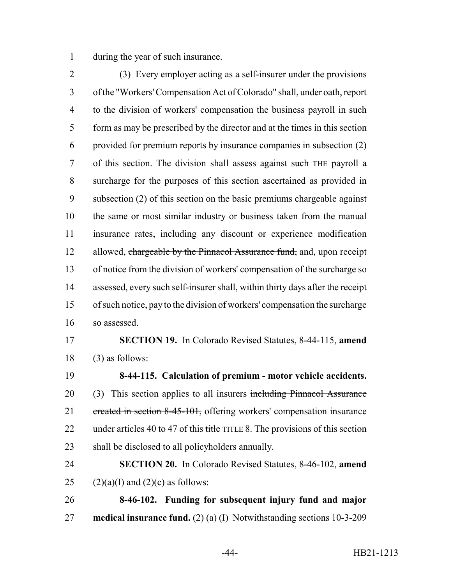during the year of such insurance.

 (3) Every employer acting as a self-insurer under the provisions of the "Workers' Compensation Act of Colorado" shall, under oath, report to the division of workers' compensation the business payroll in such form as may be prescribed by the director and at the times in this section provided for premium reports by insurance companies in subsection (2) of this section. The division shall assess against such THE payroll a surcharge for the purposes of this section ascertained as provided in subsection (2) of this section on the basic premiums chargeable against the same or most similar industry or business taken from the manual insurance rates, including any discount or experience modification 12 allowed, chargeable by the Pinnacol Assurance fund, and, upon receipt of notice from the division of workers' compensation of the surcharge so assessed, every such self-insurer shall, within thirty days after the receipt of such notice, pay to the division of workers' compensation the surcharge so assessed.

## **SECTION 19.** In Colorado Revised Statutes, 8-44-115, **amend** (3) as follows:

 **8-44-115. Calculation of premium - motor vehicle accidents.** 20 (3) This section applies to all insurers including Pinnacol Assurance 21 created in section 8-45-101, offering workers' compensation insurance 22 under articles 40 to 47 of this title TITLE 8. The provisions of this section shall be disclosed to all policyholders annually.

 **SECTION 20.** In Colorado Revised Statutes, 8-46-102, **amend** 25 (2)(a)(I) and (2)(c) as follows:

 **8-46-102. Funding for subsequent injury fund and major medical insurance fund.** (2) (a) (I) Notwithstanding sections 10-3-209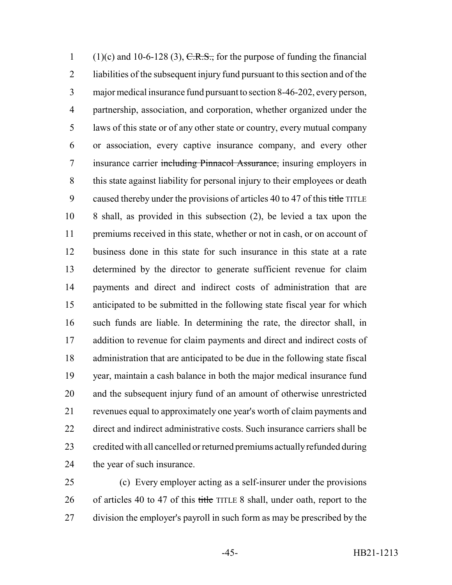1 (1)(c) and 10-6-128 (3),  $C.R.S.,$  for the purpose of funding the financial liabilities of the subsequent injury fund pursuant to this section and of the major medical insurance fund pursuant to section 8-46-202, every person, partnership, association, and corporation, whether organized under the laws of this state or of any other state or country, every mutual company or association, every captive insurance company, and every other 7 insurance carrier including Pinnacol Assurance, insuring employers in this state against liability for personal injury to their employees or death 9 caused thereby under the provisions of articles 40 to 47 of this title TITLE 8 shall, as provided in this subsection (2), be levied a tax upon the 11 premiums received in this state, whether or not in cash, or on account of business done in this state for such insurance in this state at a rate determined by the director to generate sufficient revenue for claim payments and direct and indirect costs of administration that are anticipated to be submitted in the following state fiscal year for which such funds are liable. In determining the rate, the director shall, in 17 addition to revenue for claim payments and direct and indirect costs of administration that are anticipated to be due in the following state fiscal year, maintain a cash balance in both the major medical insurance fund and the subsequent injury fund of an amount of otherwise unrestricted revenues equal to approximately one year's worth of claim payments and direct and indirect administrative costs. Such insurance carriers shall be credited with all cancelled or returned premiums actually refunded during the year of such insurance.

 (c) Every employer acting as a self-insurer under the provisions 26 of articles 40 to 47 of this title TITLE 8 shall, under oath, report to the 27 division the employer's payroll in such form as may be prescribed by the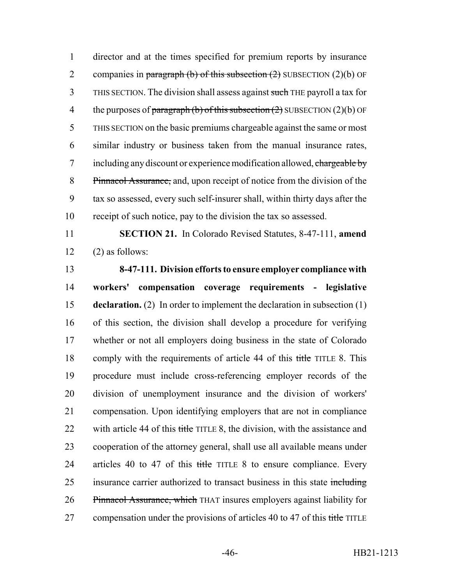1 director and at the times specified for premium reports by insurance 2 companies in paragraph (b) of this subsection  $(2)$  SUBSECTION  $(2)(b)$  OF 3 THIS SECTION. The division shall assess against such THE payroll a tax for 4 the purposes of paragraph (b) of this subsection  $(2)$  SUBSECTION  $(2)(b)$  OF 5 THIS SECTION on the basic premiums chargeable against the same or most 6 similar industry or business taken from the manual insurance rates, 7 including any discount or experience modification allowed, chargeable by 8 Pinnacol Assurance, and, upon receipt of notice from the division of the 9 tax so assessed, every such self-insurer shall, within thirty days after the 10 receipt of such notice, pay to the division the tax so assessed.

11 **SECTION 21.** In Colorado Revised Statutes, 8-47-111, **amend**  $12 \qquad (2)$  as follows:

 **8-47-111. Division efforts to ensure employer compliance with workers' compensation coverage requirements - legislative declaration.** (2) In order to implement the declaration in subsection (1) of this section, the division shall develop a procedure for verifying whether or not all employers doing business in the state of Colorado 18 comply with the requirements of article 44 of this title TITLE 8. This procedure must include cross-referencing employer records of the division of unemployment insurance and the division of workers' compensation. Upon identifying employers that are not in compliance 22 with article 44 of this title TITLE 8, the division, with the assistance and cooperation of the attorney general, shall use all available means under 24 articles 40 to 47 of this title TITLE 8 to ensure compliance. Every 25 insurance carrier authorized to transact business in this state including Pinnacol Assurance, which THAT insures employers against liability for 27 compensation under the provisions of articles 40 to 47 of this title TITLE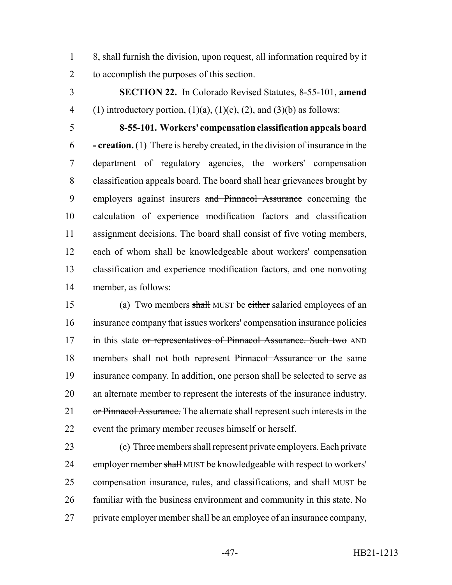8, shall furnish the division, upon request, all information required by it to accomplish the purposes of this section.

 **SECTION 22.** In Colorado Revised Statutes, 8-55-101, **amend** 4 (1) introductory portion,  $(1)(a)$ ,  $(1)(c)$ ,  $(2)$ , and  $(3)(b)$  as follows:

 **8-55-101. Workers' compensation classification appeals board - creation.** (1) There is hereby created, in the division of insurance in the department of regulatory agencies, the workers' compensation classification appeals board. The board shall hear grievances brought by 9 employers against insurers and Pinnacol Assurance concerning the calculation of experience modification factors and classification assignment decisions. The board shall consist of five voting members, each of whom shall be knowledgeable about workers' compensation classification and experience modification factors, and one nonvoting member, as follows:

 (a) Two members shall MUST be either salaried employees of an insurance company that issues workers' compensation insurance policies 17 in this state or representatives of Pinnacol Assurance. Such two AND members shall not both represent Pinnacol Assurance or the same insurance company. In addition, one person shall be selected to serve as an alternate member to represent the interests of the insurance industry. 21 or Pinnacol Assurance. The alternate shall represent such interests in the event the primary member recuses himself or herself.

 (c) Three members shall represent private employers. Each private 24 employer member shall MUST be knowledgeable with respect to workers' 25 compensation insurance, rules, and classifications, and shall MUST be familiar with the business environment and community in this state. No private employer member shall be an employee of an insurance company,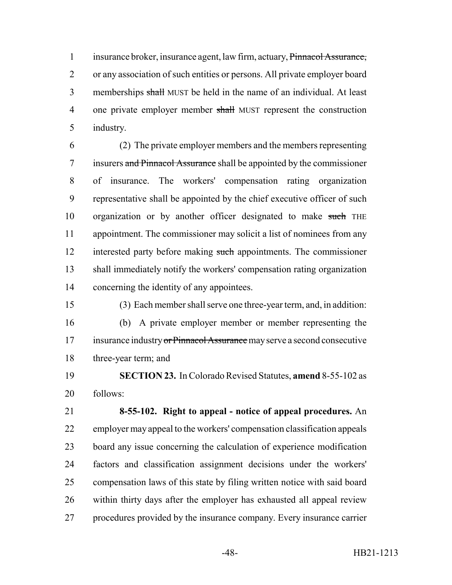insurance broker, insurance agent, law firm, actuary, Pinnacol Assurance, or any association of such entities or persons. All private employer board 3 memberships shall MUST be held in the name of an individual. At least 4 one private employer member shall MUST represent the construction industry.

 (2) The private employer members and the members representing insurers and Pinnacol Assurance shall be appointed by the commissioner of insurance. The workers' compensation rating organization representative shall be appointed by the chief executive officer of such 10 organization or by another officer designated to make such THE appointment. The commissioner may solicit a list of nominees from any 12 interested party before making such appointments. The commissioner shall immediately notify the workers' compensation rating organization concerning the identity of any appointees.

(3) Each member shall serve one three-year term, and, in addition:

 (b) A private employer member or member representing the 17 insurance industry or Pinnacol Assurance may serve a second consecutive three-year term; and

 **SECTION 23.** In Colorado Revised Statutes, **amend** 8-55-102 as follows:

 **8-55-102. Right to appeal - notice of appeal procedures.** An employer may appeal to the workers' compensation classification appeals board any issue concerning the calculation of experience modification factors and classification assignment decisions under the workers' compensation laws of this state by filing written notice with said board within thirty days after the employer has exhausted all appeal review procedures provided by the insurance company. Every insurance carrier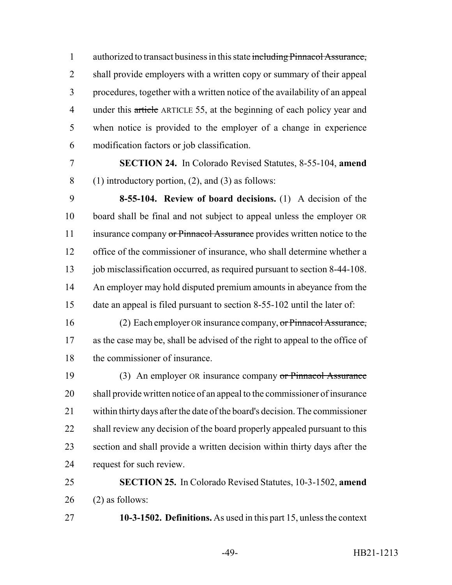authorized to transact business in this state including Pinnacol Assurance, shall provide employers with a written copy or summary of their appeal procedures, together with a written notice of the availability of an appeal 4 under this article ARTICLE 55, at the beginning of each policy year and when notice is provided to the employer of a change in experience modification factors or job classification.

 **SECTION 24.** In Colorado Revised Statutes, 8-55-104, **amend** 8 (1) introductory portion, (2), and (3) as follows:

 **8-55-104. Review of board decisions.** (1) A decision of the board shall be final and not subject to appeal unless the employer OR 11 insurance company or Pinnacol Assurance provides written notice to the office of the commissioner of insurance, who shall determine whether a 13 job misclassification occurred, as required pursuant to section 8-44-108. 14 An employer may hold disputed premium amounts in abeyance from the date an appeal is filed pursuant to section 8-55-102 until the later of:

 (2) Each employer OR insurance company, or Pinnacol Assurance, as the case may be, shall be advised of the right to appeal to the office of the commissioner of insurance.

19 (3) An employer OR insurance company or Pinnacol Assurance shall provide written notice of an appeal to the commissioner of insurance within thirty days after the date of the board's decision. The commissioner 22 shall review any decision of the board properly appealed pursuant to this section and shall provide a written decision within thirty days after the request for such review.

# **SECTION 25.** In Colorado Revised Statutes, 10-3-1502, **amend** (2) as follows:

**10-3-1502. Definitions.** As used in this part 15, unless the context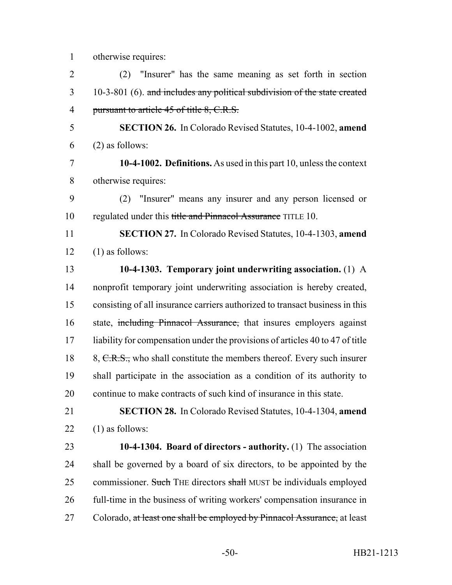|  |  | otherwise requires: |
|--|--|---------------------|

| $\overline{2}$ | "Insurer" has the same meaning as set forth in section<br>(2)                                                                                                                                                                                                                                                                                                                                                                                                                          |
|----------------|----------------------------------------------------------------------------------------------------------------------------------------------------------------------------------------------------------------------------------------------------------------------------------------------------------------------------------------------------------------------------------------------------------------------------------------------------------------------------------------|
| 3              | 10-3-801 (6). and includes any political subdivision of the state created                                                                                                                                                                                                                                                                                                                                                                                                              |
| $\overline{4}$ | pursuant to article 45 of title 8, C.R.S.                                                                                                                                                                                                                                                                                                                                                                                                                                              |
| 5              | <b>SECTION 26.</b> In Colorado Revised Statutes, 10-4-1002, amend                                                                                                                                                                                                                                                                                                                                                                                                                      |
| 6              | $(2)$ as follows:                                                                                                                                                                                                                                                                                                                                                                                                                                                                      |
| 7              | 10-4-1002. Definitions. As used in this part 10, unless the context                                                                                                                                                                                                                                                                                                                                                                                                                    |
| 8              | otherwise requires:                                                                                                                                                                                                                                                                                                                                                                                                                                                                    |
| $\Omega$       | $(2)$ $\blacksquare$ $\blacksquare$ $\blacksquare$ $\blacksquare$ $\blacksquare$ $\blacksquare$ $\blacksquare$ $\blacksquare$ $\blacksquare$ $\blacksquare$ $\blacksquare$ $\blacksquare$ $\blacksquare$ $\blacksquare$ $\blacksquare$ $\blacksquare$ $\blacksquare$ $\blacksquare$ $\blacksquare$ $\blacksquare$ $\blacksquare$ $\blacksquare$ $\blacksquare$ $\blacksquare$ $\blacksquare$ $\blacksquare$ $\blacksquare$ $\blacksquare$ $\blacksquare$ $\blacksquare$ $\blacksquare$ |

 (2) "Insurer" means any insurer and any person licensed or 10 regulated under this title and Pinnacol Assurance TITLE 10.

 **SECTION 27.** In Colorado Revised Statutes, 10-4-1303, **amend**  $12 \qquad (1)$  as follows:

 **10-4-1303. Temporary joint underwriting association.** (1) A nonprofit temporary joint underwriting association is hereby created, consisting of all insurance carriers authorized to transact business in this 16 state, including Pinnacol Assurance, that insures employers against liability for compensation under the provisions of articles 40 to 47 of title 18 8, C.R.S., who shall constitute the members thereof. Every such insurer shall participate in the association as a condition of its authority to continue to make contracts of such kind of insurance in this state.

 **SECTION 28.** In Colorado Revised Statutes, 10-4-1304, **amend** 22  $(1)$  as follows:

 **10-4-1304. Board of directors - authority.** (1) The association shall be governed by a board of six directors, to be appointed by the 25 commissioner. Such THE directors shall MUST be individuals employed full-time in the business of writing workers' compensation insurance in 27 Colorado, at least one shall be employed by Pinnacol Assurance, at least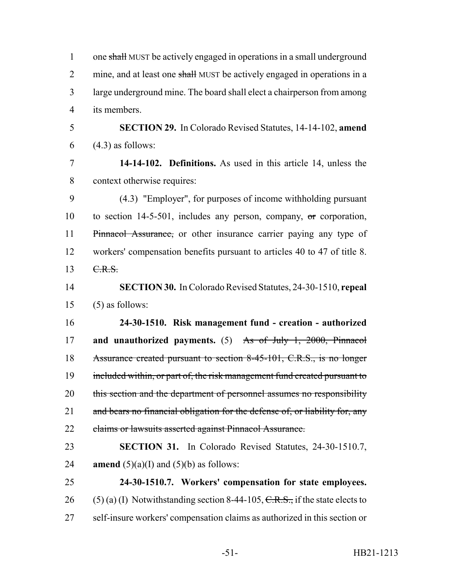| $\mathbf{1}$   | one shall MUST be actively engaged in operations in a small underground        |
|----------------|--------------------------------------------------------------------------------|
| $\overline{2}$ | mine, and at least one shall MUST be actively engaged in operations in a       |
| $\overline{3}$ | large underground mine. The board shall elect a chairperson from among         |
| $\overline{4}$ | its members.                                                                   |
| 5              | SECTION 29. In Colorado Revised Statutes, 14-14-102, amend                     |
| 6              | $(4.3)$ as follows:                                                            |
| $\overline{7}$ | 14-14-102. Definitions. As used in this article 14, unless the                 |
| 8              | context otherwise requires:                                                    |
| 9              | (4.3) "Employer", for purposes of income withholding pursuant                  |
| 10             | to section $14-5-501$ , includes any person, company, or corporation,          |
| 11             | Pinnacol Assurance, or other insurance carrier paying any type of              |
| 12             | workers' compensation benefits pursuant to articles 40 to 47 of title 8.       |
| 13             | C.R.S.                                                                         |
| 14             | <b>SECTION 30.</b> In Colorado Revised Statutes, 24-30-1510, repeal            |
| 15             | $(5)$ as follows:                                                              |
| 16             | 24-30-1510. Risk management fund - creation - authorized                       |
| 17             | and unauthorized payments. $(5)$ As of July 1, 2000, Pinnacol                  |
| 18             | Assurance created pursuant to section 8-45-101, C.R.S., is no longer           |
| 19             | included within, or part of, the risk management fund created pursuant to      |
| 20             | this section and the department of personnel assumes no responsibility         |
| 21             | and bears no financial obligation for the defense of, or liability for, any    |
| 22             | claims or lawsuits asserted against Pinnacol Assurance.                        |
| 23             | <b>SECTION 31.</b> In Colorado Revised Statutes, 24-30-1510.7,                 |
| 24             | <b>amend</b> $(5)(a)(I)$ and $(5)(b)$ as follows:                              |
| 25             | 24-30-1510.7. Workers' compensation for state employees.                       |
| 26             | $(5)$ (a) (I) Notwithstanding section 8-44-105, C.R.S., if the state elects to |
| 27             | self-insure workers' compensation claims as authorized in this section or      |
|                |                                                                                |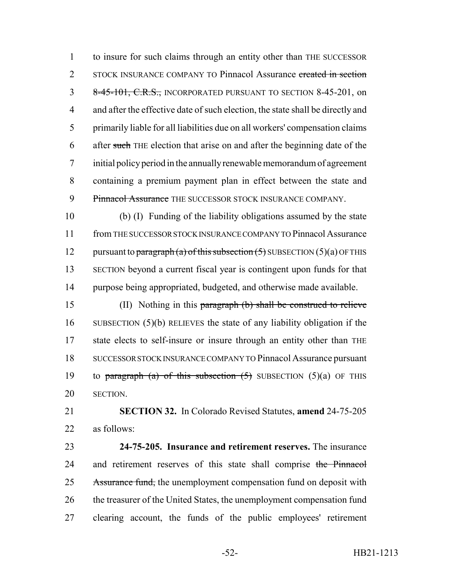to insure for such claims through an entity other than THE SUCCESSOR 2 STOCK INSURANCE COMPANY TO Pinnacol Assurance created in section 3 8-45-101, C.R.S., INCORPORATED PURSUANT TO SECTION 8-45-201, on and after the effective date of such election, the state shall be directly and primarily liable for all liabilities due on all workers' compensation claims 6 after such THE election that arise on and after the beginning date of the initial policy period in the annually renewable memorandum of agreement containing a premium payment plan in effect between the state and 9 Pinnacol Assurance THE SUCCESSOR STOCK INSURANCE COMPANY.

 (b) (I) Funding of the liability obligations assumed by the state from THE SUCCESSOR STOCK INSURANCE COMPANY TO Pinnacol Assurance 12 pursuant to paragraph (a) of this subsection  $(5)$  SUBSECTION  $(5)(a)$  OF THIS SECTION beyond a current fiscal year is contingent upon funds for that purpose being appropriated, budgeted, and otherwise made available.

 (II) Nothing in this paragraph (b) shall be construed to relieve SUBSECTION (5)(b) RELIEVES the state of any liability obligation if the 17 state elects to self-insure or insure through an entity other than THE SUCCESSOR STOCK INSURANCE COMPANY TO Pinnacol Assurance pursuant 19 to paragraph (a) of this subsection  $(5)$  SUBSECTION  $(5)(a)$  OF THIS SECTION.

 **SECTION 32.** In Colorado Revised Statutes, **amend** 24-75-205 as follows:

 **24-75-205. Insurance and retirement reserves.** The insurance 24 and retirement reserves of this state shall comprise the Pinnacol 25 Assurance fund, the unemployment compensation fund on deposit with 26 the treasurer of the United States, the unemployment compensation fund clearing account, the funds of the public employees' retirement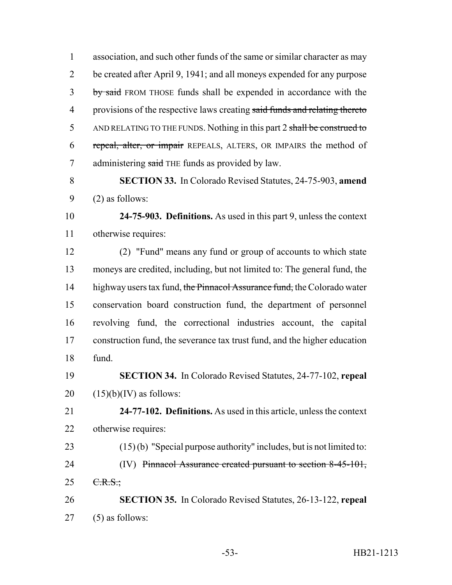association, and such other funds of the same or similar character as may be created after April 9, 1941; and all moneys expended for any purpose 3 by said FROM THOSE funds shall be expended in accordance with the 4 provisions of the respective laws creating said funds and relating thereto 5 AND RELATING TO THE FUNDS. Nothing in this part 2 shall be construed to 6 repeal, alter, or impair REPEALS, ALTERS, OR IMPAIRS the method of 7 administering said THE funds as provided by law.

 **SECTION 33.** In Colorado Revised Statutes, 24-75-903, **amend** (2) as follows:

 **24-75-903. Definitions.** As used in this part 9, unless the context otherwise requires:

 (2) "Fund" means any fund or group of accounts to which state moneys are credited, including, but not limited to: The general fund, the 14 highway users tax fund, the Pinnacol Assurance fund, the Colorado water conservation board construction fund, the department of personnel revolving fund, the correctional industries account, the capital construction fund, the severance tax trust fund, and the higher education fund.

- **SECTION 34.** In Colorado Revised Statutes, 24-77-102, **repeal** 20  $(15)(b)(IV)$  as follows:
- **24-77-102. Definitions.** As used in this article, unless the context otherwise requires:
- (15) (b) "Special purpose authority" includes, but is not limited to: 24 (IV) Pinnacol Assurance created pursuant to section 8-45-101,  $25 \t C.R.S.$ ;
- **SECTION 35.** In Colorado Revised Statutes, 26-13-122, **repeal** (5) as follows: